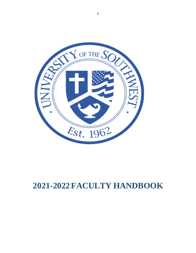

# **2021-2022 FACULTY HANDBOOK**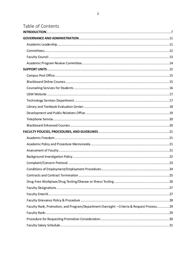# Table of Contents

| Faculty Rank, Promotion, and Program/Department Oversight - Criteria & Request Process 29 |  |
|-------------------------------------------------------------------------------------------|--|
|                                                                                           |  |
|                                                                                           |  |
|                                                                                           |  |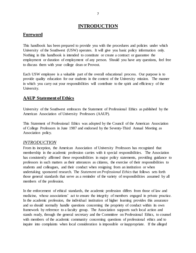# **INTRODUCTION**

#### <span id="page-6-0"></span>**Foreword**

This handbook has been prepared to provide you with the procedures and policies under which University of the Southwest (USW) operates. It will give you basic policy information only. Nothing in this handbook is intended to constitute or create a contract or guarantee the employment or duration of employment of any person. Should you have any questions, feel free to discuss them with your college dean or Provost.

Each USW employee is a valuable part of the overall educational process. Our purpose is to provide quality education for our students in the context of the University mission. The manner in which you carry out your responsibilities will contribute to the spirit and efficiency of the University.

#### **AAUP Statement of Ethics**

University of the Southwest embraces the Statement of Professional Ethics as published by the American Association of University Professors (AAUP).

This Statement of Professional Ethics was adopted by the Council of the American Association of College Professors in June 1987 and endorsed by the Seventy-Third Annual Meeting as Association policy.

#### *INTRODUCTION*

From its inception, the American Association of University Professors has recognized that membership in the academic profession carries with it special responsibilities. The Association has consistently affirmed these responsibilities in major policy statements, providing guidance to professors in such matters as their utterances as citizens, the exercise of their responsibilities to students and colleagues, and their conduct when resigning from an institution or when undertaking sponsored research. The *Statement on Professional Ethics* that follows sets forth those general standards that serve as a reminder of the variety of responsibilities assumed by all members of the profession.

In the enforcement of ethical standards, the academic profession differs from those of law and medicine, whose associations' act to ensure the integrity of members engaged in private practice. In the academic profession, the individual institution of higher learning provides this assurance and so should normally handle questions concerning the propriety of conduct within its own framework by reference to a faculty group. The Association supports such local action and stands ready, through the general secretary and the Committee on Professional Ethics, to counsel with members of the academic community concerning questions of professional ethics and to inquire into complaints when local consideration is impossible or inappropriate. If the alleged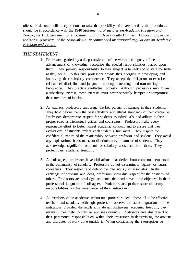offense is deemed sufficiently serious to raise the possibility of adverse action, the procedures should be in accordance with the 1940 *Statement of Principles on Academic Freedom and Tenure,* the 1958 *Statement on Procedural Standards in Faculty Dismissal Proceedings,* or the applicable provisions of the Association's *Recommended Institutional Regulations on Academic Freedom and Tenure.*

## *THE STATEMENT*

- 1. Professors, guided by a deep conviction of the worth and dignity of the advancement of knowledge, recognize the special responsibilities placed upon them. Their primary responsibility to their subject is to seek and to state the truth as they see it. To this end, professors devote their energies to developing and improving their scholarly competence. They accept the obligation to exercise critical self-discipline and judgment in using, extending, and transmitting knowledge. They practice intellectual honesty. Although professors may follow a subsidiary interest, these interests must never seriously hamper or compromise their freedom of inquiry.
- 2. As teachers, professors encourage the free pursuit of learning in their students. They hold before them the best scholarly and ethical standards of their discipline. Professors demonstrate respect for students as individuals and adhere to their proper roles as intellectual guides and counselors. Professors make every reasonable effort to foster honest academic conduct and to ensure that their evaluations of students reflect each student's true merit. They respect the confidential nature of the relationship between professor and student. They avoid any exploitation, harassment, or discriminatory treatment of students. They acknowledge significant academic or scholarly assistance from them. They protect their academic freedom.
- 3. As colleagues, professors have obligations that derive from common membership in the community of scholars. Professors do not discriminate against or harass colleagues. They respect and defend the free inquiry of associates. In the exchange of criticism and ideas, professors show due respect for the opinions of others. Professors acknowledge academic debt and strive to be objective in their professional judgment of colleagues. Professors accept their share of faculty responsibilities for the governance of their institution.
- 4. As members of an academic institution, professors seek above all to be effective teachers and scholars. Although professors observe the stated regulations of the institution, provided the regulations do not contravene academic freedom, they maintain their right to criticize and seek revision. Professors give due regard to their paramount responsibilities within their institution in determining the amount and character of work done outside it. When considering the interruption or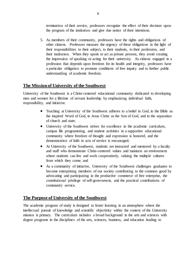termination of their service, professors recognize the effect of their decision upon the program of the institution and give due notice of their intentions.

5. As members of their community, professors have the rights and obligations of other citizens. Professors measure the urgency of these obligations in the light of their responsibilities to their subject, to their students, to their profession, and their institution. When they speak or act as private persons, they avoid creating the impression of speaking or acting for their university. As citizens engaged in a profession that depends upon freedom for its health and integrity, professors have a particular obligation to promote conditions of free inquiry and to further public understanding of academic freedom.

## **The Mission of University of the Southwest**

University of the Southwest is a Christ-centered educational community dedicated to developing men and women for a lifetime of servant leadership by emphasizing individual faith, responsibility, and initiative.

- Teaching at University of the Southwest adheres to a belief in God, in the Bible as the inspired Word of God, in Jesus Christ as the Son of God, and in the separation of church and state.
- University of the Southwest strives for excellence in the academic curriculum, campus life programming, and student activities in a supportive educational community where freedom of thought and expression is honored, and the demonstration of faith in acts of service is encouraged;
- At University of the Southwest, students are instructed and mentored by a faculty and staff who demonstrate Christ-centered values and maintain an environment where students can live and work cooperatively, valuing the multiple cultures from which they come; and
- As a community of initiative, University of the Southwest challenges graduates to become enterprising members of our society contributing to the common good by advocating and participating in the productive commerce of free enterprise, the constitutional privilege of self-government, and the practical contributions of community service.

## **The Purpose of University of the Southwest**

The academic program of study is designed to foster learning in an atmosphere where the intellectual pursuit of knowledge and scientific objectivity within the context of the University mission is primary. The curriculum includes a broad background in the arts and sciences with degree programs in the disciplines of the arts, sciences, business, and education leading to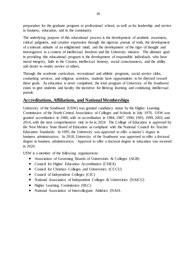preparation for the graduate program or professional school, as well as for leadership and service in business, education, and in the community.

The underlying purpose of this educational process is the development of aesthetic awareness, critical judgment, and creative expression through the rigorous pursuit of truth, the development of a tolerant attitude of an enlightened mind, and the development of the rigor of thought and investigation in a context of intellectual freedom and the University mission. The ultimate goal in providing this educational program is the development of responsible individuals who have moral integrity, faith in the Creator, intellectual honesty, social consciousness, and the ability and desire to render service to others.

Through the academic curriculum, recreational and athletic programs, social service clubs, counseling services, and religious activities, students have opportunities to be directed toward these goals. As education is never completed, the total program of University of the Southwest exists to give students and faculty the incentive for lifelong learning and continuing intellectual pursuit.

#### **Accreditations, Affiliations, and National Memberships**

University of the Southwest (USW) was granted candidacy status by the Higher Learning Commission of the North Central Association of Colleges and Schools in July 1976. USW was granted accreditation in 1980, with re-accreditation in 1984, 1987, 1990, 1993, 1999, 2003, and 2014, with the next comprehensive visit to be in 2024. The College of Education is approved by the New Mexico State Board of Education as compliant with the National Council for Teacher Education Standards. In 1995, the University was approved to offer a master's degree in business administration. In 2018, University of the Southwest was approved to offer a doctoral degree in business administration. Approval to offer a doctoral degree in education was received in 2020.

USW is a member of the following organizations:

- Association of Governing Boards of Universities & Colleges (AGB)
- Council for Higher Education Accreditation (CHEA)
- Council for Christian Colleges and Universities (CCCU)
- Council of Independent Colleges (CIC)
- National Association of Independent Colleges & Universities (NAICU)
- Higher Learning Commission (HLC)
- National Association of Intercollegiate Athletics (NAIA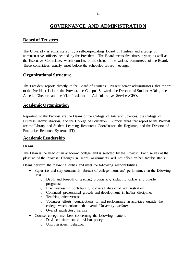# **GOVERNANCE AND ADMINISTRATION**

## <span id="page-10-0"></span>**Board of Trustees**

The University is administered by a self-perpetuating Board of Trustees and a group of administrative officers headed by the President. The Board meets five times a year, as well as the Executive Committee, which consists of the chairs of the various committees of the Board. These committees usually meet before the scheduled Board meetings.

#### **Organizational Structure**

The President reports directly to the Board of Trustees. Present senior administrators that report to the President include the Provost, the Campus Steward, the Director of Student Affairs, the Athletic Director, and the Vice President for Administrative Services/CFO.

#### **Academic Organization**

Reporting to the Provost are the Deans of the College of Arts and Sciences, the College of Business Administration, and the College of Education. Support areas that report to the Provost are the Library and Student Learning Resources Coordinator, the Registrar, and the Director of Enterprise Resource Systems (IT).

#### <span id="page-10-1"></span>**Academic Leadership**

#### **Deans**

The Dean is the head of an academic college and is selected by the Provost. Each serves at the pleasure of the Provost. Changes in Deans' assignments will not affect his/her faculty status.

Deans perform the following duties and meet the following responsibilities:

- Supervise and stay continually abreast of college members' performance in the following areas:
	- o Depth and breadth of teaching proficiency, including online and off-site programs;
	- o Effectiveness in contributing to overall divisional administration;
	- o Continued professional growth and development in his/her discipline;
	- o Teaching effectiveness;
	- o Volunteer efforts, contributions to, and performance in activities outside the college which enhance the overall University welfare;
	- o Overall satisfactory service
- Counsel college members concerning the following matters:
	- o Deviation from stated division policy;
	- o Unprofessional behavior;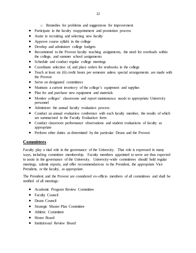- o Remedies for problems and suggestions for improvement
- Participate in the faculty reappointment and promotion process
- Assist in recruiting and selecting new faculty
- Approve course syllabi in the college
- Develop and administer college budgets
- Recommend to the Provost faculty teaching assignments, the need for overloads within the college, and summer school assignments
- Schedule and conduct regular college meetings
- Coordinate selection of, and place orders for textbooks in the college
- Teach at least six (6) credit hours per semester unless special arrangements are made with the Provost
- Serve on designated committees
- Maintain a current inventory of the college's equipment and supplies
- Plan for and purchase new equipment and materials
- Monitor colleges' classrooms and report maintenance needs to appropriate University personnel
- Administer the annual faculty evaluation process
- Conduct an annual evaluation conference with each faculty member, the results of which are summarized in the Faculty Evaluation form
- Conduct classroom performance observations and student evaluations of faculty as appropriate
- Perform other duties as determined by the particular Deans and the Provost

## <span id="page-11-0"></span>**Committees**

Faculty play a vital role in the governance of the University. That role is expressed in many ways, including committee membership. Faculty members appointed to serve are thus expected to assist in the governance of the University. University-wide committees should hold regular meetings, submit reports, and offer recommendations to the President, the appropriate Vice President, or the faculty, as appropriate.

The President and the Provost are considered ex-officio members of all committees and shall be notified of all meetings:

- Academic Program Review Committee
- Faculty Council
- Deans Council
- Strategic Master Plan Committee
- Athletic Committee
- Honor Board
- Institutional Review Board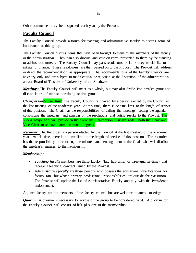Other committees may be designated each year by the Provost.

## <span id="page-12-0"></span>**Faculty Council**

The Faculty Council provide a forum for teaching and administrative faculty to discuss items of importance to this group.

The Faculty Council discuss items that have been brought to them by the members of the faculty or the administration. They can also discuss and vote on items presented to them by the standing or ad-hoc committees. The Faculty Council may pass resolutions of items they would like to initiate or change. These resolutions are then passed on to the Provost. The Provost will address or direct the recommendation as appropriate. The recommendations of the Faculty Council are advisory only and are subject to modification or rejection at the discretion of the administration and/or Board of Trustees of University of the Southwest.

*Meetings:* The Faculty Council will meet as a whole, but may also divide into smaller groups to discuss items of interest pertaining to that group.

*Chairperson*/*Vice-Chair:* The Faculty Council is chaired by a person elected by the Council at the last meeting of the academic year. At this time, there is no time limit to the length of service of this position. The Chair has the responsibilities of calling the meetings, setting the agenda, conducting the meetings, and passing on the resolutions and voting results to the Provost. The Vice-Chairperson will preside in the event the Chairperson is unavailable. Both the Chair and Vice-Chair must have earned terminal degrees.

*Recorder:* The Recorder is a person elected by the Council at the last meeting of the academic year. At this time, there is no time limit to the length of service of this position. The recorder has the responsibility of recording the minutes and sending them to the Chair who will distribute the meeting's minutes to the membership.

#### *Membership:*

- *Teaching faculty* members are those faculty (full, half-time, or three-quarter-time) that receive a teaching contract issued by the Provost.
- *Administrative faculty* are those persons who possess the educational qualifications for faculty rank but whose primary professional responsibilities are outside the classroom. The Provost will update the list of Administrative Faculty annually with the President's endorsement.

Adjunct faculty are not members of the faculty council but are welcome to attend meetings.

*Quorum:* A quorum is necessary for a vote of the group to be considered valid. A quorum for the Faculty Council will consist of half plus one of the membership.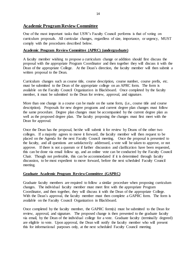## <span id="page-13-0"></span>**Academic Program Review Committee**

One of the most important tasks that USW's Faculty Council performs is that of voting on curriculum proposals. All curricular changes, regardless of size, importance, or urgency, MUST comply with the procedures described below.

#### **Academic Program Review Committee (APRC) (undergraduate)**

A faculty member wishing to propose a curriculum change or addition should first discuss the proposal with the appropriate Program Coordinator and then together they will discuss it with the Dean of the appropriate College. At the Dean's direction, the faculty member will then submit a written proposal to the Dean.

Curriculum changes such as course title, course description, course number, course prefix, etc. must be submitted to the Dean of the appropriate college on an APRC form. The form is available on the Faculty Council Organization in Blackboard. Once completed by the faculty member, it must be submitted to the Dean for review, approval, and signature.

More than one change in a course can be made on the same form, (i.e., course title and course description). Proposals for new degree programs and current degree plan changes must follow the same procedure. Degree plan changes must be accompanied by the current degree plan as well as the proposed degree plan. The faculty proposing the changes must first meet with the Dean for approval.

Once the Dean has the proposal, he/she will submit it for review by Deans of the other two colleges. If a majority agrees to move it forward, the faculty member will then request to be placed on the Agenda for the next Faculty Council meeting. Once the proposal is presented to the faculty, and all questions are satisfactorily addressed, a vote will be taken to approve, or not approve. If there is not a quorum or if further discussion and clarification have been requested, this can be done via email follow up, and an online vote can be conducted by the Faculty Council Chair. Though not preferable, this can be accommodated if it is determined through faculty discussion, to be most expedient to move forward, before the next scheduled Faculty Council meeting.

#### **Graduate Academic Program ReviewCommittee (GAPRC)**

Graduate faculty members are required to follow a similar procedure when proposing curriculum changes. The individual faculty member must meet first with the appropriate Program Coordinator, and then together, they will discuss it with the Dean of the appropriate College. With the Dean's approval, the faculty member must then complete a GAPRC form. The form is available on the Faculty Council Organization in Blackboard.

Once completed by the faculty member, the GAPRC form(s) must be submitted to the Dean for review, approval, and signature. The proposed change is then presented to the graduate faculty via email, by the Dean of the individual college for a vote. Graduate faculty (terminally degreed) are eligible to vote. Upon approval, the Dean will notify the faculty member who will present this for informational purposes only, at the next scheduled Faculty Council meeting.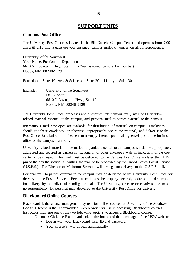## **SUPPORT UNITS**

#### <span id="page-14-1"></span><span id="page-14-0"></span>**Campus Post Office**

The University Post Office is located in the Bill Daniels Campus Center and operates from 7:00 am until 2:15 pm. Please use your assigned campus mailbox number on all correspondence.

University of the Southwest Your Name, Position, or Department 6610 N. Lovington Hwy., Ste.  $_{\text{c}}$  (Your assigned campus box number) Hobbs, NM 88240-9129

Education – Suite 10 Arts & Sciences – Suite 20 Library – Suite 30

Example: University of the Southwest Dr. B. Shott 6610 N Lovington Hwy., Ste. 10 Hobbs, NM 88240-9129

The University Post Office processes and distributes intercampus mail, mail of Universityrelated material external to the campus, and personal mail to parties external to the campus.

Intercampus mail envelopes are available for distribution of material on campus. Employees should use these envelopes, or otherwise appropriately secure the material, and deliver it to the Post Office for distribution. Please return empty intercampus mailing envelopes to the business office or the campus mailroom.

University-related material to be mailed to parties external to the campus should be appropriately addressed and secured in University stationery, or other envelopes with an indication of the cost center to be charged. This mail must be delivered to the Campus Post Office no later than 1:15 pm of the day the individual wishes the mail to be processed by the United States Postal Service (U.S.P.S.). The Director of Mailroom Services will arrange for delivery to the U.S.P.S. daily.

Personal mail to parties external to the campus may be delivered to the University Post Office for delivery to the Postal Service. Personal mail must be properly secured, addressed, and stamped for delivery by the individual sending the mail. The University, or its representatives, assumes no responsibility for personal mail delivered to the University Post Office for delivery.

#### <span id="page-14-2"></span>**Blackboard Online Courses**

Blackboard is the course management system for online courses at University of the Southwest. Google Chrome is the recommended web browser for use in accessing Blackboard courses. Instructors may use one of the two following options to access a Blackboard course.

Option 1: Click the Blackboard link at the bottom of the homepage of the USW website.

- Log in with your Blackboard User ID and password.
- Your course(s) will appear automatically.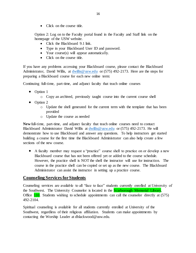• Click on the course title.

Option 2: Log on to the Faculty portal found in the Faculty and Staff link on the homepage of the USW website.

- Click the Blackboard 9.1 link.
- Type in your Blackboard User ID and password.
- Your course(s) will appear automatically.
- Click on the course title.

If you have any problems accessing your Blackboard course, please contact the Blackboard Administrator, David Willis, at [dwillis@usw.edu](mailto:dwillis@usw.edu) or (575) 492-2173. Here are the steps for preparing a Blackboard course for each new online term:

Continuing full-time, part-time, and adjunct faculty that teach online courses

- Option 1
	- o Copy an archived, previously taught course into the current course shell
- Option 2
	- o Update the shell generated for the current term with the template that has been provided
	- o Update the course as needed

**New** full-time, part-time, and adjunct faculty that teach online courses need to contact Blackboard Administrator David Willis at [dwillis@usw.edu](mailto:dwillis@usw.edu) or (575) 492-2173. He will demonstrate how to use Blackboard and answer any questions. To help instructors get started building a course for the first time the Blackboard Administrator can also help create a few sections of the new course.

• A faculty member may request a "practice" course shell to practice on or develop a new Blackboard course that has not been offered yet or added to the course schedule. However, the practice shell is NOT the shell the instructor will use for instruction. The course in the practice shell can be copied or set up as the new course. The Blackboard Administrator can assist the instructor in setting up a practice course.

#### <span id="page-15-0"></span>**Counseling Services for Students**

Counseling services are available to all "face to face" students currently enrolled at University of the Southwest. The University Counselor is located in the Scarborough Memorial Library, Office 110. Students wishing to schedule appointments can call the counselor directly at (575) 492-2104.

Spiritual counseling is available for all students currently enrolled at University of the Southwest, regardless of their religious affiliation. Students can make appointments by contacting the Worship Leader at dblackwood@usw.edu.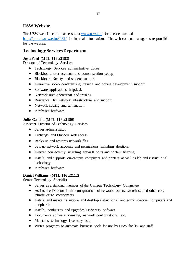## <span id="page-16-0"></span>**USW Website**

The USW website can be accessed at [www.usw.edu](http://www.usw.edu/) for outside use and <https://portals.usw.edu:8082/> for internal information. The web content manager is responsible for the website.

## <span id="page-16-1"></span>**Technology Services Department**

#### **Josh Ford (MTL 116 x2183)**

Director of Technology Services

- Technology Services administrative duties
- Blackboard user accounts and course section set up
- Blackboard faculty and student support
- Interactive video conferencing training and course development support
- Software applications helpdesk
- Network user orientation and training
- Residence Hall network infrastructure and support
- Network cabling and termination
- Purchases hardware

#### **Julio Castillo (MTL 116 x2180)**

Assistant Director of Technology Services

- Server Administrator
- Exchange and Outlook web access
- Backs up and restores network files
- Sets up network accounts and permissions including deletions
- Internet connectivity including firewall ports and content filtering
- Installs and supports on-campus computers and printers as well as lab and instructional technology
- Purchases hardware

#### **Daniel Williams (MTL 116 x2112)**

Senior Technology Specialist

- Serves as a standing member of the Campus Technology Committee
- Assists the Director in the configuration of network routers, switches, and other core infrastructure components
- Installs and maintains mobile and desktop instructional and administrative computers and peripherals
- Installs, configures and upgrades University software
- Documents software licensing, network configurations, etc.
- Maintains technology inventory lists
- Writes programs to automate business tools for use by USW faculty and staff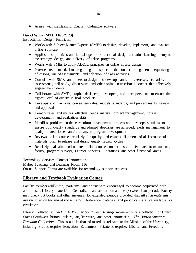• Assists with maintaining Ellucian Colleague software

## **David Willis (MTL 116 x2173)**

Instructional Design Technician

- Works with Subject Matter Experts (SMEs) to design, develop, implement, and evaluate online software
- Applies best practices and knowledge of instructional design and adult learning theory to the strategy, design, and delivery of online programs
- Works with SMEs to apply ADDIE principles in online course design
- Provides recommendations regarding all aspects of the content arrangement, sequencing of lessons, use of assessments, and selection of class activities
- Consults with SMEs and others to design and develop hands-on exercises, scenarios, assessments, self-study, discussions and other online instructional content that effectively engage the students
- Collaborate with SMEs, graphic designers, developers, and other personnel to ensure the highest level of quality in final products
- Develops and maintains course templates, models, standards, and procedures for review and approval
- Demonstrates and utilizes effective needs analysis, project management, course development, and evaluation skills
- Identifies problems in the curriculum development process and develops solutions to ensure both quality standards and planned deadlines are achieved; alerts management to quality-related issues and/or delays in program development
- Reviews online courses regularly for quality and ensures alignment of all instructional materials prior to release and during quality review cycles
- Regularly maintains and updates online course content based on feedback from students, faculty, program surveys, Learner Services, Operations, and other functional areas

Technology Services Contact Information Mabee Teaching and Learning Room 116 Online Support Forms are available for technology support requests.

# <span id="page-17-0"></span>**Library and Textbook Evaluation Center**

Faculty members-full-time, part-time, and adjunct-are encouraged to become acquainted with and to use all library materials. Generally, materials are on a three (3) week loan period. Faculty may check out books and other materials for extended periods provided that *all such materials are returned by the end of the semester.* Reference materials and periodicals are not available for circulation.

Library Collections: *Thelma A. Webber Southwest Heritage Room –* this is a collection of United States Southwest history, culture, art, literature, and other information. *The Hatton Sumners Freedom Collection –* This is a collection of materials relevant to the Mission of the University, including Free Enterprise Education, Economics, Private Enterprise, Liberty, and Freedom.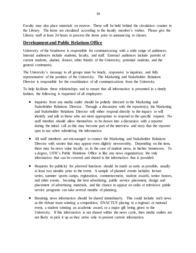Faculty may also place materials on reserve. These will be held behind the circulation counter in the Library. The items are circulated according to the faculty member's wishes. Please give the Library staff at least 24 hours to process the items prior to announcing to classes.

#### <span id="page-18-0"></span>**Development and Public Relations Office**

University of the Southwest is responsible for communicating with a wide range of audiences. Internal audiences include students, faculty, and staff. External audiences include parents of current students, alumni, donors, other friends of the University, potential students, and the general community.

The University's message to all groups must be timely, responsive to inquiries, and fully representative of the position of the University. The Marketing and Stakeholder Relations Director is responsible for the coordination of all communications from the University.

To help facilitate these relationships and to ensure that all information is presented in a timely fashion, the following is requested of all employees:

- Inquiries from any media outlet should be politely directed to the Marketing and Stakeholder Relations Director. Through a discussion with the reporter(s), the Marketing and Stakeholder Relations Director will either respond directly to the inquiry or will identify and talk to those who are most appropriate to respond to the specific request. No staff member should allow themselves to be drawn into a discussion with a reporter during the initial call as this may become part of the interview and story that the reporter opts to use when submitting the information.
- All staff members are encouraged to contact the Marketing and Stakeholder Relations Director with stories that may appear even slightly newsworthy. Depending on the item, there may be news value locally or, in the case of student news, in his/her hometown. To a degree, USW's Public Relations Office is like any news organization; the only information that can be covered and shared is the information that is provided.
- Requests for publicity for *planned* functions should be made as early as possible, usually at least two months prior to the event. A sample of planned events includes lecture series, summer sports camps, registration, commencement, student awards, senior honors, and other events. Securing the best advertising, public service placement, design and placement of advertising materials, and the chance to appear on radio or television public service programs can take several months of planning.
- Breaking news information should be shared immediately. This could include such news as the debate team winning a competition, ENACTUS placing in a regional or national event, a student winning an academic award, or a major gift being given to the University. If this information is not shared within the news cycle, then media outlets are not likely to pick it up as they strive only to present current information.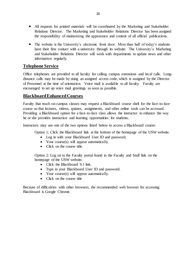- All requests for printed materials will be coordinated by the Marketing and Stakeholder Relations Director. The Marketing and Stakeholder Relations Director has been assigned the responsibility of maintaining the appearance and content of all official publications.
- The website is the University's electronic front door. More than half of today's students have their first contact with a university through its website. The University's Marketing and Stakeholder Relations Director will work with departments to update news and other information regularly.

#### <span id="page-19-0"></span>**Telephone Service**

Office telephones are provided to all faculty for calling campus extensions and local calls. Longdistance calls may be made by using an assigned access code, which is assigned by the Director of Personnel at the time of orientation. Voice mail is available to all faculty. Faculty are encouraged to set up voice mail greetings as soon as possible.

#### <span id="page-19-1"></span>**Blackboard Enhanced Courses**

Faculty that teach on-campus classes may request a Blackboard course shell for the face-to-face course so that lectures, videos, quizzes, assignments, and other online tools can be accessed. Providing a Blackboard option for a face-to-face class allows the instructor to enhance the way he or she provides instruction and learning opportunities for students.

Instructors may use one of the two options listed below to access a Blackboard course:

Option 1: Click the Blackboard link at the bottom of the homepage of the USW website.

- Log in with your Blackboard User ID and password.
- Your course(s) will appear automatically.
- Click on the course title.

Option 2: Log on to the Faculty portal found in the Faculty and Staff link on the homepage of the USW website.

- Click the Blackboard 9.1 link.
- Type in your Blackboard User ID and password.
- Your course(s) will appear automatically.
- Click on the course title

Because of difficulties with other browsers, the recommended web browser for accessing Blackboard is Google Chrome.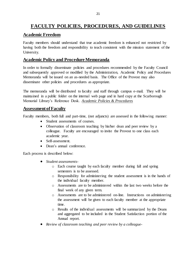# <span id="page-20-0"></span>**FACULTY POLICIES, PROCEDURES, AND GUIDELINES**

## <span id="page-20-1"></span>**Academic Freedom**

Faculty members should understand that true academic freedom is enhanced not restricted by having both the freedom and responsibility to teach consistent with the mission statement of the University.

## <span id="page-20-2"></span>**Academic Policy and Procedure Memoranda**

In order to formally disseminate policies and procedures recommended by the Faculty Council and subsequently approved or modified by the Administration, Academic Policy and Procedures Memoranda will be issued on an as-needed basis. The Office of the Provost may also disseminate other policies and procedures as appropriate.

The memoranda will be distributed to faculty and staff through campus e-mail. They will be maintained in a public folder on the internal web page and in hard copy at the Scarborough Memorial Library's Reference Desk. *Academic Policies & Procedures*

## <span id="page-20-3"></span>**Assessment of Faculty**

Faculty members, both full and part-time, (not adjuncts) are assessed in the following manner:

- Student assessments of courses.
- Observation of classroom teaching by his/her dean and peer review by a colleague. Faculty are encouraged to invite the Provost to one class each academic year.
- Self-assessment.
- Dean's annual conference.

Each process is described below:

- *Student assessments*
	- o Each course taught by each faculty member during fall and spring semesters is to be assessed.
	- o Responsibility for administering the student assessment is in the hands of the individual faculty member.
	- o Assessments are to be administered within the last two weeks before the final week of any given term.
	- o Assessments are to be administered on-line. Instructions on administering the assessment will be given to each faculty member at the appropriate time.
	- o Results of the individual assessments will be summarized by the Deans and aggregated to be included in the Student Satisfaction portion of the Annual report.
- *Review of classroom teaching and peer review by a colleague-*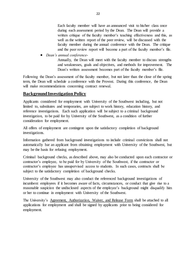Each faculty member will have an announced visit to his/her class once during each assessment period by the Dean. The Dean will provide a written critique of the faculty member's teaching effectiveness and this, as well as the written report of the peer review, will be discussed with the faculty member during the annual conference with the Dean. The critique and the peer review report will become a part of the faculty member's file.

• *Dean's annual conference-*

Annually, the Dean will meet with the faculty member to discuss strengths and weaknesses, goals and objectives, and methods for improvement. The Dean's written assessment becomes part of the faculty member's file.

Following the Dean's assessment of the faculty member, but not later than the close of the spring term, the Dean will schedule a conference with the Provost. During this conference, the Dean will make recommendations concerning contract renewal.

#### <span id="page-21-0"></span>**Background Investigation Policy**

Applicants considered for employment with University of the Southwest including, but not limited to, substitutes and temporaries, are subject to work history, education history, and reference investigations. Each such application will be subject to a criminal background investigation, to be paid for by University of the Southwest, as a condition of further consideration for employment.

All offers of employment are contingent upon the satisfactory completion of background investigations.

Information gathered from background investigations to include criminal convictions shall not automatically bar an applicant from obtaining employment with University of the Southwest, but may be the basis for refusing employment.

Criminal background checks, as described above, may also be conducted upon each contractor or contractor's employee, to be paid for by University of the Southwest, if the contractor or contractor's employee has unsupervised access to students. In such cases, contracts shall be subject to the satisfactory completion of background checks.

University of the Southwest may also conduct the referenced background investigations of incumbent employees if it becomes aware of facts, circumstances, or conduct that give rise to a reasonable suspicion the undisclosed aspects of the employee's background might disqualify him or her to continue in employment with University of the Southwest.

The University's Agreement, Authorization, Waiver, and Release Form shall be attached to all applications for employment and shall be signed by applicants prior to being considered for employment.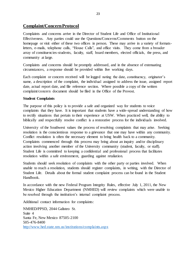## <span id="page-22-0"></span>**Complaint/Concern Protocol**

Complaints and concerns arrive in the Director of Student Life and Office of Institutional Effectiveness. Any parties could use the Questions/Concerns/Comments button on the homepage or visit either of these two offices in person. These may arrive in a variety of formatsletters, e-mails, telephone calls, "House Calls", and office visits. They come from a broader array of constituencies-students, faculty, staff, board members, elected officials, the press, and community at large.

Complaints and concerns should be promptly addressed, and in the absence of extenuating circumstances, a response should be provided within five working days.

Each complaint or concern received will be logged noting the date, constituency, originator's name, a description of the complaint, the individual assigned to address the issue, assigned report date, actual report date, and file reference section. Where possible a copy of the written complaint/concern document should be filed in the Office of the Provost.

#### **Student Complaints**

The purpose of this policy is to provide a safe and organized way for students to voice complaints that they have. It is important that students have a wide-spread understanding of how to rectify situations that pertain to their experience at USW. When practiced well, the ability to biblically and respectfully resolve conflict is a restorative process for the individuals involved.

University of the Southwest values the process of resolving complaints that may arise. Seeking resolution is the conscientious response to a grievance that one may have within any community. Conflict resolution is often the necessary element to bring health back to a community. Complaints commenced through this process may bring about an inquiry and/or disciplinary action involving another member of the University community (student, faculty, or staff). Student Life is committed to keeping a confidential and professional process that facilitates resolution within a safe environment, guarding against retaliation.

Students should seek resolution of complaints with the other party or parties involved. When unable to reach a resolution, students should register complaints, in writing, with the Director of Student Life. Details about the formal student complaint process can be found in the Student Handbook.

In accordance with the new Federal Program Integrity Rules, effective July 1, 2011, the New Mexico Higher Education Department (NMHED) will review complaints which were unable to be resolved through the institution's internal complaint process.

Additional contact information for complaints:

NMHED/PPSD, 2044 Galisteo St. Suite 4 Santa Fe, New Mexico 87505-2100 505-476-8400 <http://www.hed.state.nm.us/institutions/complaints.aspx>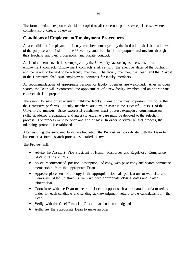The formal written response should be copied to all concerned parties except in cases where confidentiality directs otherwise.

#### <span id="page-23-0"></span>**Conditions of Employment/Employment Procedures**

As a condition of employment, faculty members employed by the institution shall be made aware of the purpose and mission of the University and shall fulfill the purpose and mission through their teaching and their professional and private conduct.

All faculty members shall be employed by the University according to the terms of an employment contract. Employment contracts shall set forth the effective dates of the contract and the salary to be paid to be a faculty member. The faculty member, the Dean, and the Provost of the University shall sign employment contracts for faculty members.

All recommendations of appropriate persons for faculty openings are welcomed. After an open search, the Dean will recommend the appointment of a new faculty member and an appropriate contract shall be prepared.

The search for new or replacement full-time faculty is one of the most important functions that the University performs. Faculty members are a major asset in the successful pursuit of the University's mission. Since successful candidates must possess exemplary communication skills, academic preparation, and integrity, extreme care must be devoted to the selection process. The process must be open and free of bias. In order to formalize that process, the following protocol is established.

After assuring the sufficient funds are budgeted, the Provost will coordinate with the Dean to implement a formal search process as detailed below:

The Provost will:

- Advise the Assistant Vice President of Human Resources and Regulatory Compliance (AVP of HR and RC)
- Solicit recommended position description, ad copy, web page copy and search committee membership from the appropriate Dean
- Approve placement of ad copy in the appropriate journal, publication or web site, and on University of the Southwest's web site with appropriate closing dates and related information
- Coordinate with the Dean to secure logistical support such as preparation of a materials folder for each candidate and sending acknowledgment letters to the candidates from the Dean
- Verify with the Chief Financial Officer that funds are budgeted
- Authorize the appropriate Dean to make an offer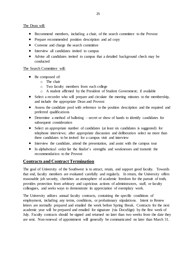The Dean will:

- Recommend members, including a chair, of the search committee to the Provost
- Prepare recommended position description and ad copy
- Convene and charge the search committee
- Interview all candidates invited to campus
- Advise all candidates invited to campus that a detailed background check may be conducted

The Search Committee will:

- Be composed of:
	- o The chair
	- o Two faculty members from each college
	- o A student affirmed by the President of Student Government; if available
- Select a recorder who will prepare and circulate the meeting minutes to the membership, and include the appropriate Dean and Provost
- Assess the candidate pool with reference to the position description and the required and preferred qualifications
- Determine a method of balloting secret or show of hands to identify candidates for subsequent consideration
- Select an appropriate number of candidates (at least six candidates is suggested) for telephone interviews; after appropriate discussion and deliberation select no more than three candidates to be invited for a campus visit and interview
- Interview the candidate, attend the presentation, and assist with the campus tour
- In alphabetical order list the finalist's strengths and weaknesses and transmit the recommendation to the Provost

## <span id="page-24-0"></span>**Contracts and Contract Termination**

The goal of University of the Southwest is to attract, retain, and support good faculty. Towards that end, faculty members are evaluated carefully and regularly. In return, the University offers reasonable job security, cherishes an atmosphere of academic freedom for the pursuit of truth, provides protection from arbitrary and capricious actions of administrators, staff, or faculty colleagues, and seeks ways to demonstrate its appreciation of exemplary work.

The University utilizes annual faculty contracts, containing the specific conditions of employment, including any terms, conditions, or probationary stipulations. Intent to Renew letters are normally prepared and emailed the week before Spring Break. Contracts for the next academic year will be prepared and emailed for signature (via DocuSign) by the first week of July. Faculty contracts should be signed and returned no later than two weeks from the date they are sent. Non-renewal of appointment will generally be communicated no later than March 31.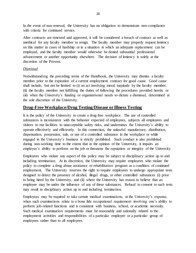In the event of non-renewal, the University has no obligation to demonstrate non-compliance with criteria for continued service.

After contracts are renewed and approved, it will be considered a breach of contract as well as unethical for any faculty member to resign. The faculty member may properly request leniency on this matter in cases of hardship or in a situation in which an adequate replacement can be employed, and the faculty member would otherwise be denied substantial professional advancement or another opportunity elsewhere. The decision of leniency is solely at the discretion of the Provost.

#### *Dismissal*

Notwithstanding the preceding terms of the Handbook, the University may dismiss a faculty member prior to the expiration of a current employment contract for good cause. Good cause shall include, but not be limited to (i) an act involving moral turpitude by the faculty member; (ii) the faculty member not fulfilling the duties of following the procedures provided herein; or (iii) when the University's funding or organizational needs so dictate a dismissal, determined at the sole discretion of the University.

#### <span id="page-25-0"></span>**Drug-Free Workplace/Drug Testing/Disease or Illness Testing**

It is the policy of the University to create a drug-free workplace. The use of controlled substances is inconsistent with the behavior expected of employees, subjects all employees and visitors to our facilities to unacceptable safety risks, and undermines the University's ability to operate effectively and efficiently. In this connection, the unlawful manufacture, distribution, dispensation, possession, sale, or use of a controlled substance in the workplace or while engaged in the University's business is strictly prohibited. Such conduct is also prohibited during non-working time to the extent that in the opinion of the University, it impairs an employee's ability to perform on the job or threatens the reputation or integrity of the University.

Employees who violate any aspect of this policy may be subject to disciplinary action up to and including termination. At its discretion, the University may require employees who violate the policy to complete a drug abuse assistance or rehabilitation program as a condition of continued employment. The University reserves the right to require employees to undergo appropriate tests designed to detect the presence of alcohol, illegal drugs, or other controlled substances (i) prior to being hired by the University, and (ii) where the University has reason to believe that an employee may be under the influence of any of these substances. Refusal to consent to such tests may result in disciplinary action up to and including termination.

Employees may be required to take certain medical examinations, at the University's expense, when such examinations relate to a bona fide occupational requirement involving one's ability to perform job-related functions and is consistent with business, school, or academic necessity. Such medical examination requirements must be reasonably and rationally related to the employment activities and responsibilities of a particular employee or a particular group of employees rather than to all employees.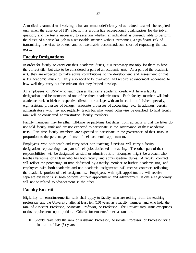A medical examination involving a human immunodeficiency virus-related test will be required only when the absence of HIV infection is a bona fide occupational qualification for the job in question, and the test is necessary to ascertain whether an individual is currently able to perform the duties of a particular job in a reasonable manner without presenting a significant risk of transmitting the virus to others, and no reasonable accommodation short of requesting the test exists.

## <span id="page-26-0"></span>**Faculty Designations**

In order for faculty to carry out their academic duties, it is necessary not only for them to have the correct title, but also to be considered a part of an academic unit. As a part of the academic unit, they are expected to make active contributions to the development and assessment of that unit's academic mission. They also need to be evaluated and receive advancement according to how well they carry out the mission that they helped develop.

All employees of USW who teach classes that carry academic credit will have a faculty designation and be members of one of the three academic units. Each faculty member will hold academic rank in his/her respective division or college with an indication of his/her specialty, e.g., assistant professor of biology, associate professor of accounting, etc. In addition, certain administrators who may not regularly teach but who would otherwise be qualified to hold faculty rank will be considered administrative faculty members.

Faculty members may be either full-time or part-time but differ from adjuncts in that the latter do not hold faculty rank and are not expected to participate in the governance of their academic units. Part-time faculty members are expected to participate in the governance of their units in proportion to the percentage of time of their academic appointment.

Employees who both teach and carry other non-teaching functions will carry a faculty designation representing that part of their jobs dedicated to teaching. The other part of their responsibilities will be designated as staff or administration. Examples might be a coach who teaches half-time or a Dean who has both faculty and administrative duties. A faculty contract will reflect the percentage of time dedicated by a faculty member to his/her academic unit, and employees with both academic and non-academic assignments will receive contracts reflecting the academic portion of their assignments. Employees with split appointments will receive separate evaluations in both portions of their appointment and advancement in one area generally will not be related to advancement in the other.

## <span id="page-26-1"></span>**Faculty Emeriti**

Eligibility for emeritus/emerita rank shall apply to faculty who are retiring from the teaching profession and the University after at least ten (10) years as a faculty member and who hold the rank of Assistant Professor, Associate Professor, or Professor. The Provost may grant exceptions to this requirement upon petition. Criteria for emeritus/emerita rank are:

• Should have held the rank of Assistant Professor, Associate Professor, or Professor for a minimum of five (5) years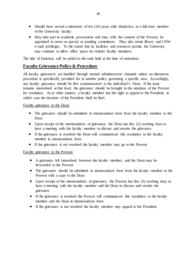- Should have served a minimum of ten (10) years with distinction as a full-time member of the University faculty
- May take part in academic processions and may, with the consent of the Provost, be appointed to serve on special or standing committees. They also retain library and USW e-mail privileges. To the extent that its facilities and resources permit, the University may continue to allow office space for emeriti faculty members.

The title of Emeritus will be added to the rank held at the time of retirement.

#### <span id="page-27-0"></span>**Faculty Grievance Policy & Procedure**

All faculty grievances are handled through normal administrative channels unless an alternative procedure is specifically provided for in another policy governing a specific area. Accordingly, any faculty grievance should be first communicated to the individual's Dean. If the issue remains unresolved at that level, the grievance should be brought to the attention of the Provost for resolution. As in other matters, a faculty member has the right to appeal to the President, in which case the decision of the President shall be final.

#### Faculty grievance to the Dean:

- The grievance should be submitted in memorandum form from the faculty member to the Dean
- Upon receipt of the memorandum of grievance, the Dean has five (5) working days to have a meeting with the faculty member to discuss and resolve the grievance
- If the grievance is resolved the Dean will communicate this resolution to the faculty member in memorandum form
- If the grievance is not resolved the faculty member may go to the Provost

#### Faculty grievance to the Provost:

- A grievance left unresolved between the faculty member, and the Dean may be forwarded to the Provost
- The grievance should be submitted in memorandum form from the faculty member to the Provost with a copy to the Dean
- Upon receipt of the memorandum of grievance, the Provost has five (5) working days to have a meeting with the faculty member and the Dean to discuss and resolve the grievance
- If the grievance is resolved the Provost will communicate this resolution to the faculty member and the Dean in memorandum form
- If the grievance is not resolved the faculty member may appeal to the President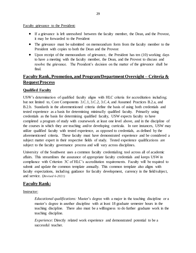Faculty grievance to the President:

- If a grievance is left unresolved between the faculty member, the Dean, and the Provost, it may be forwarded to the President
- The grievance must be submitted on memorandum form from the faculty member to the President with copies to both the Dean and the Provost
- Upon receipt of the memorandum of grievance, the President has ten (10) working days to have a meeting with the faculty member, the Dean, and the Provost to discuss and resolve the grievance. The President's decision on the matter of the grievance shall be final.

## <span id="page-28-0"></span>**Faculty Rank, Promotion, and Program/Department Oversight – Criteria & Request Process**

#### **Qualified Faculty**

USW's determination of qualified faculty aligns with HLC criteria for accreditation including; but not limited to, Core Components 3.C.1, 3.C.2, 3.C.4, and Assumed Practices B.2.a, and B.2.b. Standards in the aforementioned criteria define the basis of using both credentials and tested experience as a basis for determining minimally qualified faculty. Primarily using credentials as the basis for determining qualified faculty, USW expects faculty to have completed a program of study with coursework at least one level above, and in the discipline of the courses in which they are teaching and/or developing curricula. In rare instances, USW may utilize qualified faculty with tested experience, as opposed to credentials, as defined by the aforementioned criteria. These faculty must have demonstrated experience and be considered a subject matter expert in their respective fields of study. Tested experience qualifications are subject to the faculty governance process and will vary across disciplines.

University of the Southwest uses a common faculty credentialing tool across all of academic affairs. This streamlines the assurance of appropriate faculty credentials and keeps USW in compliance with Criterion 3C of HLC's accreditation requirements. Faculty will be required to submit and update the common template annually. This common template also aligns with faculty expectations, including guidance for faculty development, currency in the field/subject, and service. (*Revised 6-2021)*

#### <span id="page-28-1"></span>**Faculty Rank:**

#### Instructor:

*Educational qualifications:* Master's degree with a major in the teaching discipline or a master's degree in another discipline with at least 18 graduate semester hours in the teaching discipline. There also must be a willingness to do further graduate work in the teaching discipline.

*Experience:* Directly related work experience and demonstrated potential to be a successful teacher.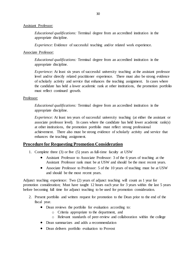#### Assistant Professor:

*Educational qualifications:* Terminal degree from an accredited institution in the appropriate discipline.

*Experience:* Evidence of successful teaching and/or related work experience.

#### Associate Professor:

*Educational qualifications:* Terminal degree from an accredited institution in the appropriate discipline.

*Experience:* At least six years of successful university teaching at the assistant professor level and/or directly related practitioner experience. There must also be strong evidence of scholarly activity and service that enhances the teaching assignment. In cases where the candidate has held a lower academic rank at other institutions, the promotion portfolio must reflect continued growth.

#### Professor:

*Educational qualifications:* Terminal degree from an accredited institution in the appropriate discipline.

*Experience:* At least ten years of successful university teaching (at either the assistant or associate professor level). In cases where the candidate has held lower academic rank(s) at other institutions, the promotion portfolio must reflect strong professional achievement. There also must be strong evidence of scholarly activity and service that enhances the teaching assignment.

#### <span id="page-29-0"></span>**Procedure for Requesting Promotion Consideration**

- 1. Complete three (3) or five (5) years as full-time faculty at USW
	- Assistant Professor to Associate Professor: 3 of the 6 years of teaching at the Assistant Professor rank must be at USW and should be the most recent years.
	- Associate Professor to Professor: 5 of the 10 years of teaching must be at USW and should be the most recent years.

Adjunct teaching experience: Two (2) years of adjunct teaching will count as 1 year for promotion consideration; Must have taught 12 hours each year for 3 years within the last 5 years before becoming full time for adjunct teaching to be used for promotion consideration.

- 2. Present portfolio and written request for promotion to the Dean prior to the end of the fiscal year.
	- Dean reviews the portfolio for evaluation according to:
		- o Criteria appropriate to the department, and
		- o Relevant standards of peer-review and collaboration within the college
	- Dean summarizes and adds a recommendation
	- Dean delivers portfolio evaluation to Provost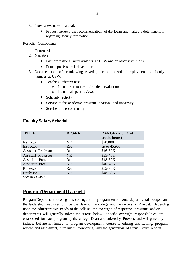- 3. Provost evaluates material.
	- Provost reviews the recommendation of the Dean and makes a determination regarding faculty promotion.

Portfolio Components

- 1. Current vita
- 2. Narrative
	- Past professional achievements at USW and/or other institutions
	- Future professional development
- 3. Documentation of the following covering the total period of employment as a faculty member at USW:
	- Teaching effectiveness
		- o Include summaries of student evaluations
		- o Include all peer reviews
	- Scholarly activity
	- Service to the academic program, division, and university
	- Service to the community

| <b>TITLE</b>               | <b>RES/NR</b> | RANGE $(=$ or $<$ 24<br>credit hours) |
|----------------------------|---------------|---------------------------------------|
| Instructor                 | NR.           | \$20,800                              |
| Instructor                 | Res           | up to 45,900                          |
| <b>Assistant Professor</b> | Res           | \$46-50K                              |
| <b>Assistant Professor</b> | NR.           | \$35-40K                              |
| Associate Prof.            | Res           | \$48-52K                              |
| Associate Prof.            | NR.           | $$40-45K$                             |
| Professor                  | Res           | \$55-78K                              |
| Professor                  | <b>NR</b>     | \$48-68K                              |
| $(11.1 \cdot 11001)$       |               |                                       |

## <span id="page-30-0"></span>**Faculty Salary Schedule**

*(Adopted 1-2021)*

#### <span id="page-30-1"></span>**Program/Department Oversight**

Program/Department oversight is contingent on program enrollment, departmental budget, and the leadership needs set forth by the Dean of the college and the university Provost. Depending upon the administrative needs of the college, the oversight of respective programs and/or departments will generally follow the criteria below. Specific oversight responsibilities are established for each program by the college Dean and university Provost, and will generally include, but are not limited to: program development, course scheduling and staffing, program review and assessment, enrollment monitoring, and the generation of annual status reports.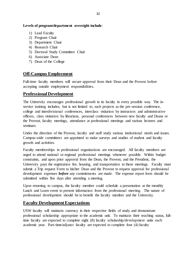#### **Levels of program/department oversight include**:

- 1) Lead Faculty
- 2) Program Chair
- 3) Department Chair
- 4) Research Chair
- 5) Doctoral Study Committee Chair
- 6) Associate Dean
- 7) Dean of the College

## <span id="page-31-0"></span>**Off-Campus Employment**

Full-time faculty members will secure approval from their Dean and the Provost before accepting outside employment responsibilities.

#### <span id="page-31-1"></span>**Professional Development**

The University encourages professional growth in its faculty in every possible way. The inservice training includes, but is not limited to, such projects as the pre-session conference, college and interdivisional conferences, interclass visitation by instructors and administrative officers, class visitation by librarians, personal conferences between new faculty and Deans or the Provost, faculty meetings, attendance at professional meetings and various lectures and seminars.

Under the direction of the Provost, faculty and staff study various institutional needs and issues. Campus-wide committees are appointed to make surveys and studies of student and faculty growth and activities.

Faculty memberships in professional organizations are encouraged. All faculty members are urged to attend national or regional professional meetings whenever possible. Within budget constraints, and upon prior approval from the Dean, the Provost, and the President, the University pays the registration fee, housing, and transportation to these meetings. Faculty must submit a Trip request Form to his/her Dean and the Provost to request approval for professional development expenses *before* any commitments are made. The expense report form should be submitted within five days after attending a meeting.

Upon returning to campus, the faculty member could schedule a presentation at the monthly Lunch and Learn event to present information from the professional meeting. The nature of professional development should be to benefit the faculty member and the University.

## <span id="page-31-2"></span>**Faculty Development Expectations**

USW faculty will maintain currency in their respective fields of study and demonstrate professional scholarship appropriate to the academic unit. To maintain their teaching status, fulltime faculty are expected to complete eight (8) faculty scholarship/development units each academic year. Part-time/adjunct faculty are expected to complete four (4) faculty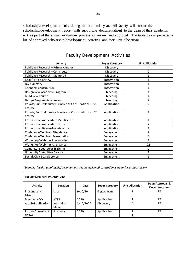scholarship/development units during the academic year. All faculty will submit the scholarship/development report (with supporting documentation) to the dean of their academic unit as part of the annual evaluation process for review and approval. The table below provides a list of approved scholarship/development activities and their unit allocations.

| <b>Activity</b>                                          | <b>Boyer Category</b> | <b>Unit Allocation</b> |
|----------------------------------------------------------|-----------------------|------------------------|
| Published Research - Primary Author                      | Discovery             | 4                      |
| Published Research - Contributor                         | Discovery             | 2                      |
| Published Research - Mentored                            | Discovery             | 1                      |
| Book/Article Review                                      | Integration           | $\mathbf{1}$           |
| Lay Summary                                              | Integration           | $\mathbf{1}$           |
| Textbook Contribution                                    | Integration           | 1                      |
| Design New Academic Program                              | Teaching              | 4                      |
| <b>Build New Course</b>                                  | Teaching              | 1                      |
| Design Program Assessment                                | Teaching              | 2                      |
| Private/Public/Industry Practice or Consultations - < 20 | Application           | $\mathfrak{p}$         |
| hrs/wk                                                   |                       |                        |
| Private/Public/Industry Practice or Consultations - > 20 | Application           | 4                      |
| hrs/wk                                                   |                       |                        |
| Professional Association Membership                      | Application           | $\mathbf{1}$           |
| Professional Association Officer                         | Application           | 2                      |
| Professional License Maintenance                         | Application           | $\mathbf{1}$           |
| Conference/Seminar Attendance                            | Engagement            | 2                      |
| Conference/Seminar Presentation                          | Engagement            | 3                      |
| Workshop/Webinar Presentation                            | Engagement            | $\mathbf{1}$           |
| Workshop/Webinar Attendance                              | Engagement            | 0.5                    |
| Complete a Course or Training                            | Engagement            | 2                      |
| University Committee Service                             | Engagement            | $\mathbf{1}$           |
| Social/Civic Board Service                               | Engagement            | 1                      |

## Faculty Development Activities

*\*Example faculty scholarship/development report delivered to academic dean for annual review.*

 $\Gamma$ 

| Faculty Member: Dr. John Doe |                    |           |                       |                        |                                         |
|------------------------------|--------------------|-----------|-----------------------|------------------------|-----------------------------------------|
| <b>Activity</b>              | Location           | Date      | <b>Boyer Category</b> | <b>Unit Allocation</b> | Dean Approval &<br><b>Documentation</b> |
| Present Lunch<br>&Learn      | <b>USW</b>         | 9/10/20   | Engagement            |                        | <b>RT</b>                               |
| Member AOM                   | <b>AOM</b>         | 2020      | Application           |                        | <b>RT</b>                               |
| Article Publication          | Journal of<br>Mgmt | 2/10/2020 | Discovery             | 4                      | RT                                      |
| Private Consultant           | <b>Strategos</b>   | 2020      | Application           |                        | RT                                      |
| <b>TOTAL</b>                 |                    |           |                       | 8                      |                                         |

٦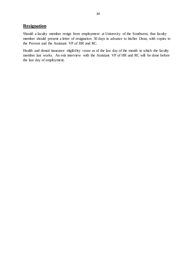## <span id="page-33-0"></span>**Resignation**

Should a faculty member resign from employment at University of the Southwest, that faculty member should present a letter of resignation 30 days in advance to his/her Dean, with copies to the Provost and the Assistant VP of HR and RC.

Health and dental insurance eligibility cease as of the last day of the month in which the faculty member last works. An exit interview with the Assistant VP of HR and RC will be done before the last day of employment.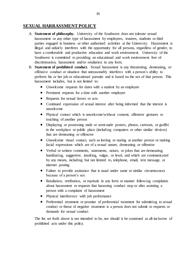## <span id="page-34-0"></span>**SEXUAL HARRASSMENT POLICY**

- A. **Statement of philosophy.** University of the Southwest does not tolerate sexual harassment or any other type of harassment by employees, trustees, students or third parties engaged in business or other authorized activities at the University. Harassment is illegal and unfairly interferes with the opportunity for all persons, regardless of gender, to have a comfortable and productive education and work environment. University of the Southwest is committed to providing an educational and work environment free of discrimination, harassment and/or retaliation in any form.
- B. **Statement of prohibited conduct.** Sexual harassment is any threatening, demeaning, or offensive conduct or situation that unreasonably interferes with a person's ability to perform his or her job or educational pursuits and is based on the sex of that person. This harassment includes, but is not limited to:
	- Unwelcome requests for dates with a student by an employee
	- Persistent requests for a date with another employee
	- Requests for sexual favors or acts
	- Continued expression of sexual interest after being informed that the interest is unwelcome
	- Physical contact which is unwelcome/without consent; offensive gestures or touching of another person
	- Displaying or possessing nude or semi-nude posters, photos, cartoons, or graffiti in the workplace or public place (including computers or other similar devices) that are demeaning or offensive
	- Unwelcome visual contact, such as leering or staring at another person or making facial expressions which are of a sexual nature, demeaning or offensive
	- Verbal or written comments, statements, noises, or jokes that are demeaning, humiliating, suggestive, insulting, vulgar, or lewd, and which are communicated by any means, including but not limited to, telephone, email, text message, or internet posting
	- Failure to provide assistance that is usual under same or similar circumstances because of a person's sex
	- Retaliation, retribution, or reprisals in any form or manner following complaints about harassment or requests that harassing conduct stop or after assisting a person with a complaint of harassment
	- Physical interference with job performance
	- Preferential treatment or promise of preferential treatment for submitting to sexual conduct or threat of negative treatment is a person does not submit to requests or demands for sexual conduct

The list set forth above is not intended to be, nor should it be construed as all-inclusive of prohibited acts under this policy.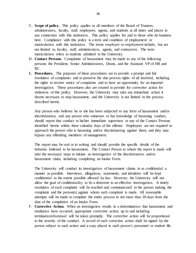- C. **Scope of policy.** This policy applies to all members of the Board of Trustees, administrators, faculty, staff, employees, agents, and students at all times and places in any connection with this institution. This policy applies for and to those who do business here. Compliance with this policy is a term and condition of employment or matriculation with this institution. The terms *employee* or *employment* include, but are not limited to, faculty, staff, administrators, agents, and contractors. The term matriculation refers to students admitted to the University.
- D. **Contact Persons.** Complaints of harassment may be made to any of the following persons: the President, Senior Administrators, Deans, and the Assistant VP of HR and RC.
- E. **Procedures.** The purposes of these procedures are to provide a prompt and fair resolution of complaints and to preserve the due process rights of all involved, including the rights to receive notice of complaints and to have an opportunity for an impartial investigation. These procedures also are created to provide for corrective action for violations of this policy. However, the University may take any immediate action it deems necessary to stop harassment, and the University is not limited to the process described herein.

Any person who believes he or she has been subjected to any form of harassment and/or discrimination, and any person who witnesses or has knowledge of harassing conduct, should report that conduct to his/her immediate supervisor or any of the Contact Persons identified herein within three calendar days of the offense. Employees are not required to approach the person who is harassing and/or discriminating against them, and they may bypass any offending members of management.

The report may be oral or in writing and should provide the specific details of the behavior believed to be harassment. The Contact Person to whom the report is made will take the necessary steps to initiate an investigation of the discrimination and/or harassment claim, including completing an Intake Form.

The University will conduct its investigation of harassment claims in as confidential a manner as possible. Interviews, allegations, statements, and identities will be kept confidential to the extent possible allowed by law. However, the University will not allow the goal of confidentiality to be a deterrent to an effective investigation. A timely resolution of each complaint will be reached and communicated to the person making the complaint and the person(s) against whom such complaint is made. All reasonable attempts will be made to complete the entire process in not more than 30 days from the date of the completion of an Intake Form.

F. **Corrective Action.** When an investigation results in a determination that harassment and retaliation have occurred, appropriate corrective action, up to and including termination/dismissal will be taken promptly. The corrective action will be proportional to the severity of the conduct. A record of such corrective action shall be signed by the person subject to such action and a copy placed in such person's personnel or student file.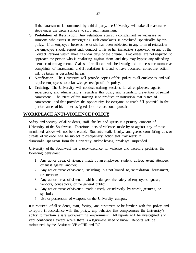If the harassment is committed by a third party, the University will take all reasonable steps under the circumstances to stop such harassment.

- G. **Prohibition of Retaliation.** Any retaliation against a complainant or witnesses or someone who assists in investigating such complaints is prohibited specifically by this policy. If an employee believes he or she has been subjected to any form of retaliation, the employee should report such conduct to his or her immediate supervisor or any of the Contact Persons within three calendar days of the offense. Employees are not required to approach the person who is retaliating against them, and they may bypass any offending member of management. Claims of retaliation will be investigated in the same manner as complaints of harassment, and if retaliation is found to have occurred, corrective action will be taken as described herein.
- H. **Notification.** The University will provide copies of this policy to all employees and will require employees to acknowledge receipt of this policy.
- I. **Training.** The University will conduct training sessions for all employees, agents, supervisors, and administrators regarding this policy and regarding prevention of sexual harassment. The intent of this training is to produce an institution that is free of harassment, and that provides the opportunity for everyone to reach full potential in the performance of his or her assigned job or educational pursuits.

### **WORKPLACE ANTI-VIOLENCE POLICY**

Safety and security of all students, staff, faculty and guests is a primary concern of University of the Southwest. Therefore, acts of violence made by or against any of those mentioned above will not be tolerated. Students, staff, faculty, and guests committing acts or threats of violence will be subject to disciplinary action that may result in dismissal/suspension from the University and/or having privileges suspended.

University of the Southwest has a zero-tolerance for violence and therefore prohibits the following behaviors:

- 1. Any act or threat of violence made by an employee, student, athletic event attendee, or guest against another;
- 2. Any act or threat of violence, including, but not limited to, intimidation, harassment, or coercion;
- 3. Any act or threat of violence which endangers the safety of employees, guests, vendors, contractors, or the general public;
- 4. Any act or threat of violence made directly or indirectly by words, gestures, or symbols;
- 5. Use or possession of weapons on the University campus.

It is required of all students, staff, faculty, and customers to be familiar with this policy and to report, in accordance with this policy, any behavior that compromises the University's ability to maintain a safe work/learning environment. All reports will be investigated and kept confidential except where there is a legitimate need to know. Reports will be maintained by the Assistant VP of HR and RC.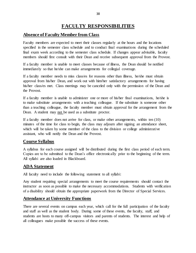# **FACULTY RESPONSIBILITIES**

#### **Absence of Faculty Member from Class**

Faculty members are expected to meet their classes regularly at the hours and the locations specified in the semester class schedule and to conduct final examinations during the scheduled final exam week according to the semester class schedule. If changes appear advisable, faculty members should first consult with their Dean and receive subsequent approval from the Provost.

If a faculty member is unable to meet classes because of illness, the Dean should be notified immediately so that he/she can make arrangements for collegial coverage.

If a faculty member needs to miss class/es for reasons other than illness, he/she must obtain approval from his/her Dean, and work out with him/her satisfactory arrangements for having his/her class/es met. Class meetings may be canceled only with the permission of the Dean and the Provost.

If a faculty member is unable to administer one or more of his/her final examinations, he/she is to make substitute arrangements with a teaching colleague. If the substitute is someone other than a teaching colleague, the faculty member must obtain approval for the arrangement from the Dean. A student may not be used as a substitute proctor.

If a faculty member does not arrive for class, or make other arrangements, within ten (10) minutes of the time for class to begin, the class may adjourn after signing an attendance sheet, which will be taken by some member of the class to the division or college administrative assistant, who will notify the Dean and the Provost.

#### **Course Syllabus**

A syllabus for each course assigned will be distributed during the first class period of each term. Copies are to be submitted to the Dean's office electronically prior to the beginning of the term. All syllabi are also loaded in Blackboard.

### **ADA Statement**

All faculty need to include the following statement to all syllabi:

Any student requiring special arrangements to meet the course requirements should contact the instructor as soon as possible to make the necessary accommodations. Students with verification of a disability should obtain the appropriate paperwork from the Director of Special Services.

#### **Attendance at University Functions**

There are several events on campus each year, which call for the full participation of the faculty and staff as well as the student body. During some of these events, the faculty, staff, and students are hosts to many off-campus visitors and parents of students. The interest and help of all colleagues make possible the success of these events.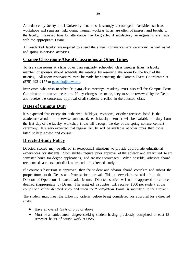Attendance by faculty at all University functions is strongly encouraged. Activities such as workshops and seminars held during normal working hours are often of interest and benefit to the faculty. Released time for attendance may be granted if satisfactory arrangements are made with the appropriate Deans.

All residential faculty are required to attend the annual commencement ceremony, as well as fall and spring in-service activities.

### **Change Classrooms/Use of Classrooms at Other Times**

To use a classroom at a time other than regularly scheduled class meeting times, a faculty member or sponsor should schedule the meeting by reserving the room for the hour of the meeting. All room reservations must be made by contacting the Campus Event Coordinator at (575) 492-2177 or [gcastillo@usw.edu.](mailto:gcastillo@usw.edu)

Instructors who wish to schedule extra class meetings regularly must also call the Campus Event Coordinator to reserve the room. If any changes are made, they must be reviewed by the Dean and receive the consensus approval of all students enrolled in the affected class.

### **Dates of Campus Duty**

It is expected that except for authorized holidays, vacations, or other recesses listed in the academic calendar or otherwise announced, each faculty member will be available for duty from the first day of the faculty workshop in the fall through the day of the spring commencement ceremony. It is also expected that regular faculty will be available at other times than those listed to help advise and consult.

### **Directed Study Policy**

Directed studies may be offered in exceptional situations to provide appropriate educational experiences for students. Such studies require prior approval of the advisor and are limited to six semester hours for degree applications, and are not encouraged. When possible, advisors should recommend a course substitution instead of a directed study.

If a course substitution is approved, then the student and advisor should complete and submit the proper forms to the Deans and Provost for approval. This paperwork is available from the Director of Operations in each academic unit. Directed studies will not be approved for courses deemed inappropriate by Deans. The assigned instructor will receive \$500 per student at the completion of the directed study and when the "Completion Form" is submitted to the Provost.

The student must meet the following criteria before being considered for approval for a directed study:

- Have an overall GPA of 3.00 or above
- Must be a matriculated, degree-seeking student having previously completed at least 15 semester hours of course work at USW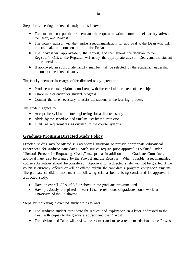Steps for requesting a directed study are as follows:

- The student must put the problem and the request in written form to their faculty advisor, the Dean, and Provost
- The faculty advisor will then make a recommendation for approval to the Dean who will, in turn, make a recommendation to the Provost
- The Provost will approve/deny the request, and then submit the decision to the Registrar's Office; the Registrar will notify the appropriate advisor, Dean, and the student of the decision.
- If approved, an appropriate faculty member will be selected by the academic leadership to conduct the directed study.

The faculty member in charge of the directed study agrees to:

- Produce a course syllabus consistent with the curricular content of the subject
- Establish a calendar for student progress
- Commit the time necessary to assist the student in the learning process

The student agrees to:

- Accept the syllabus before registering for a directed study
- Abide by the schedule and timeline set by the instructor
- Fulfill all requirements as outlined in the course syllabus

#### **Graduate Program Directed Study Policy**

Directed studies may be offered in exceptional situations to provide appropriate educational experiences for graduate candidates. Such studies require prior approval as outlined under "General Process for Requesting Credit," except that in addition to the Graduate Committee, approval must also be granted by the Provost and the Registrar. When possible, a recommended course substitution should be considered. Approval for a directed study will not be granted if the course is currently offered or will be offered within the candidate's program completion timeline. The graduate candidate must meet the following criteria before being considered for approval for a directed study:

- Have an overall GPA of 3.5 or above in the graduate program, and
- Have previously completed at least 12 semester hours of graduate coursework at University of the Southwest

Steps for requesting a directed study are as follows:

- The graduate student must state the request and explanation in a letter addressed to the Dean with copies to the graduate advisor and the Provost
- The advisor and Dean will review the request and make a recommendation to the Provost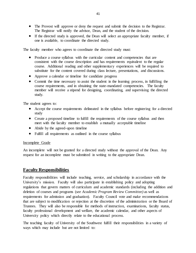- The Provost will approve or deny the request and submit the decision to the Registrar. The Registrar will notify the advisor, Dean, and the student of the decision.
- If the directed study is approved, the Dean will select an appropriate faculty member, if one is available, to coordinate the directed study.

The faculty member who agrees to coordinate the directed study must:

- Produce a course syllabus with the curricular content and competencies that are consistent with the course description and has requirements equivalent to the regular course. Additional reading and other supplementary experiences will be required to substitute for the content covered during class lecture, presentations, and discussions.
- Approve a calendar or timeline for candidate progress
- Commit the time necessary to assist the student in the learning process, in fulfilling the course requirements, and in obtaining the state-mandated competencies. The faculty member will receive a stipend for designing, coordinating, and supervising the directed study.

The student agrees to:

- Accept the course requirements delineated in the syllabus before registering for a directed study
- Create a proposed timeline to fulfill the requirements of the course syllabus and then meet with the faculty member to establish a mutually acceptable timeline
- Abide by the agreed-upon timeline
- Fulfill all requirements as outlined in the course syllabus

#### Incomplete Grade

An incomplete will not be granted for a directed study without the approval of the Dean. Any request for an incomplete must be submitted in writing to the appropriate Dean.

#### **Faculty Responsibilities**

Faculty responsibilities will include teaching, service, and scholarship in accordance with the University's mission. Faculty will also participate in establishing policy and adopting regulations that govern matters of curriculum and academic standards (including the addition and deletion of courses and programs (*see Academic Program Review Committee)* as well as requirements for admission and graduation). Faculty Council vote and make recommendations that are subject to modification or rejection at the discretion of the administration or the Board of Trustees. They will also be responsible for methods of instruction, examinations, faculty status, faculty professional development and welfare, the academic calendar, and other aspects of University policy which directly relate to the educational process.

The teaching faculty of University of the Southwest fulfill their responsibilities in a variety of ways which may include but are not limited to: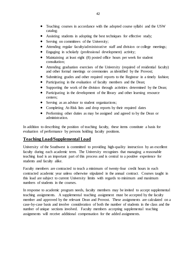- Teaching courses in accordance with the adopted course syllabi and the USW catalog;
- Assisting students in adopting the best techniques for effective study;
- Serving on committees of the University;
- Attending regular faculty/administrative staff and division or college meetings;
- Engaging in scholarly (professional development) activity;
- Maintaining at least eight (8) posted office hours per week for student consultation;
- Attending graduation exercises of the University (required of residential faculty) and other formal meetings or ceremonies as identified by the Provost;
- Submitting grades and other required reports to the Registrar in a timely fashion;
- Participating in the evaluation of faculty members and the Dean;
- Supporting the work of the division through activities determined by the Dean;
- Participating in the development of the library and other learning resource centers;
- Serving as an advisor to student organizations;
- Completing At-Risk lists and drop reports by their required dates
- Performing other duties as may be assigned and agreed to by the Dean or administration.

In addition to describing the position of teaching faculty, these items constitute a basis for evaluation of performance by persons holding faculty positions.

### **Teaching Load/Supplemental Load**

University of the Southwest is committed to providing high-quality instruction by an excellent faculty during each academic term. The University recognizes that managing a reasonable teaching load is an important part of this process and is central to a positive experience for students and faculty alike.

Faculty members are contracted to teach a minimum of twenty-four credit hours in each contracted academic year unless otherwise stipulated in the annual contract. Courses taught in this load are subject to current University limits with regards to minimum and maximum numbers of students in the courses.

In response to academic program needs, faculty members may be invited to accept supplemental teaching assignments. A supplemental teaching assignment must be accepted by the faculty member and approved by the relevant Dean and Provost. These assignments are calculated on a case-by-case basis and involve consideration of both the number of students in the class and the number of unique sections involved. Faculty members accepting supplemental teaching assignments will receive additional compensation for the added assignments.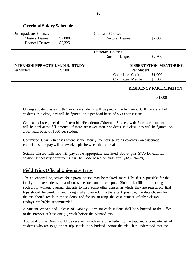### **Overload Salary Schedule**

| Undergraduate Courses                  |         | <b>Graduate Courses</b>        |         |
|----------------------------------------|---------|--------------------------------|---------|
| Masters Degree                         | \$2,000 | Doctoral Degree                | \$2,600 |
| Doctoral Degree                        | \$2,325 |                                |         |
|                                        |         |                                |         |
|                                        |         | Doctorate Courses              |         |
|                                        |         | Doctoral Degree                | \$2,800 |
|                                        |         |                                |         |
| <b>INTERNSHIP/PRACTICUM/DIR. STUDY</b> |         | <b>DISSERTATION MENTORING</b>  |         |
| Per Student                            | \$500   | (Per Student)                  |         |
|                                        |         | Committee Chair                | \$1,000 |
|                                        |         | Committee Member               | \$500   |
|                                        |         |                                |         |
|                                        |         | <b>RESIDENCY PARTICIPATION</b> |         |
|                                        |         |                                |         |
|                                        |         |                                | \$1,000 |

Undergraduate classes with 5 or more students will be paid at the full amount. If there are 1-4 students in a class, pay will be figured on a per head basis of \$500 per student.

Graduate classes, including Internships/Practicums/Directed Studies, with 3 or more students will be paid at the full amount. If there are fewer than 3 students in a class, pay will be figured on a per head basis of \$500 per student.

Committee Chair - In cases where senior faculty mentors serve as co-chairs on dissertation committees the pay will be evenly split between the co-chairs.

Science classes with labs will pay at the appropriate rate listed above, plus \$775 for each lab session. Necessary adjustments will be made based on class size. *(Added 6-2021)*

### **Field Trips/Official University Trips**

The educational objectives for a given course may be realized more fully if it is possible for the faculty to take students on a trip to some location off-campus. Since it is difficult to arrange such a trip without causing students to miss some other classes in which they are registered, field trips should be carefully and thoughtfully planned. To the extent possible, the date chosen for the trip should result in the students and faculty missing the least number of other classes. Fridays are highly recommended.

A Student Waiver and Release of Liability Form for each student shall be submitted to the Office of the Provost at least one (1) week before the planned trip.

Approval of the Dean should be received in advance of scheduling the trip, and a complete list of students who are to go on the trip should be submitted before the trip. It is understood that the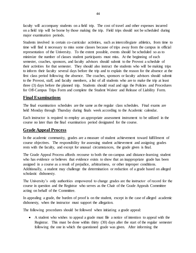faculty will accompany students on a field trip. The cost of travel and other expenses incurred on a field trip will be borne by those making the trip. Field trips should not be scheduled during major examination periods.

Students involved in certain co-curricular activities, such as intercollegiate athletics, from time to time will find it necessary to miss some classes because of trips away from the campus in official representation of the University. To the extent possible, events should be scheduled so as to minimize the number of classes student participants must miss. At the beginning of each semester, coaches, sponsors, and faculty advisors should submit to the Provost a schedule of their activities for that semester. They should also instruct the students who will be making trips to inform their faculty several days before the trip and to explain the reason for the absence at the first class period following the absence. The coaches, sponsors or faculty advisors should submit to the Provost, staff, and faculty members, a list of all students who are to make the trip at least three (3) days before the planned trip. Students should read and sign the Policies and Procedures for Off-Campus Trips Form and complete the Student Waiver and Release of Liability Form.

### **Final Examinations**

The final examination schedules are the same as the regular class schedules. Final exams are held Monday through Thursday during finals week according to the Academic calendar.

Each instructor is required to employ an appropriate assessment instrument to be utilized in the course no later than the final examination period designated for the course.

### **Grade Appeal Process**

In the academic community, grades are a measure of student achievement toward fulfillment of course objectives. The responsibility for assessing student achievement and assigning grades rests with the faculty, and except for unusual circumstances, the grade given is final.

The Grade Appeal Process affords recourse to both the on-campus and distance-learning student who has evidence or believes that evidence exists to show that an inappropriate grade has been assigned in a course as a result of prejudice, arbitrariness, or other improper conditions. Additionally, a student may challenge the determination or reduction of a grade based on alleged scholastic dishonesty.

The University's only authorities empowered to change grades are the instructor of record for the course in question and the Registrar who serves as the Chair of the Grade Appeals Committee acting on behalf of the Committee.

In appealing a grade, the burden of proof is on the student, except in the case of alleged academic dishonesty, when the instructor must support the allegation.

The following procedures should be followed when initiating a grade appeal:

• A student who wishes to appeal a grade must file a notice of intention to appeal with the Registrar. This must be done within thirty (30) days after the start of the regular semester following the one in which the questioned grade was given. After informing the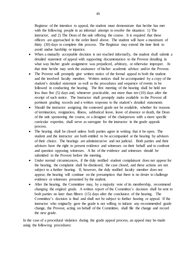Registrar of the intention to appeal, the student must demonstrate that he/she has met with the following people in an informal attempt to resolve the situation: 1) The instructor, and 2) The Dean of the unit offering the course. It is required that these officers are approached in the order listed above. The student will have a maximum of thirty (30) days to complete this process. The Registrar may extend the time limit to avoid undue hardship or injustice.

- When a mutually acceptable decision is not reached informally, the student shall submit a detailed statement of appeal with supporting documentation to the Provost detailing in what way his/her grade assignment was prejudiced, arbitrary, or otherwise improper. At that time he/she may seek the assistance of his/her academic advisor and/or the Provost.
- The Provost will promptly give written notice of the formal appeal to both the student and the involved faculty member. Written notices shall be accompanied by a copy of the student's detailed statement as well as the procedures and sequence of events to be followed in conducting the hearing. The first meeting of the hearing shall be held not less than five (5) days and, whenever practicable, not more than ten (10) days after the receipt of such notice. The Instructor shall promptly make available to the Provost all pertinent grading records and a written response to the student's detailed statements.
- Should the instructor assigning the contested grade not be available, whether for reasons of termination, resignation, illness, sabbatical leave, leave of absence or death, the Dean of the unit sponsoring the course, or a designee of the chairperson with a more specific curricular expertise, shall serve as surrogate for the instructor in the grade appeals process.
- The hearing shall be closed unless both parties agree in writing that it be open. The student and the instructor are both entitled to be accompanied at the hearing by advisors of their choice. The hearings are administrative and not judicial. Both parties and their advisors have the right to present evidence and witnesses on their behalf and to confront and question opposing witnesses. A list of the evidence and witnesses should be submitted to the Provost before the meeting.
- Under normal circumstances, if the duly notified student complainant does not appear for the hearing, the complaint shall be dismissed, the case closed, and these actions are not subject to a further hearing. If, however, the duly notified faculty member does not appear, the hearing will continue on the presumption that there is no desire to challenge evidence or witnesses presented by the student.
- After the hearing, the Committee may, by a majority vote of its membership, recommend changing the original grade. A written report of the Committee's decision shall be sent to both parties no later than fifteen (15) days after the conclusion of the hearing. The Committee's decision is final and shall not be subject to further hearing or appeal. If the instructor who originally gave the grade is not willing to initiate any recommended grade change, the Provost, acting on behalf of the Committee, shall file the change and record the new grade.

In the case of a procedural violation during the grade appeal process, an appeal may be made using the following procedures: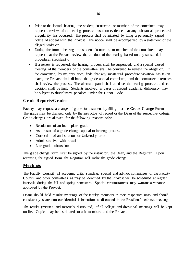- Prior to the formal hearing, the student, instructor, or member of the committee may request a review of the hearing process based on evidence that any substantial procedural irregularity has occurred. The process shall be initiated by filing a personally signed notice of appeal with the Provost. The notice shall be accompanied by a statement of the alleged violation.
- During the formal hearing, the student, instructor, or member of the committee may request that the Provost review the conduct of the hearing based on any substantial procedural irregularity.
- If a review is requested, the hearing process shall be suspended, and a special closed meeting of the members of the committee shall be convened to review the allegation. If the committee, by majority vote, finds that any substantial procedure violation has taken place, the Provost shall disband the grade appeal committee, and the committee alternates shall review the process. The alternate panel shall continue the hearing process, and its decision shall be final. Students involved in cases of alleged academic dishonesty may be subject to disciplinary penalties under the Honor Code.

### **Grade Reports/Grades**

Faculty may request a change of grade for a student by filling out the **Grade Change Form.**  The grade may be changed only by the instructor of record or the Dean of the respective college. Grade changes are allowed for the following reasons only:

- Resolution of an Incomplete grade
- As a result of a grade change appeal or hearing process
- Correction of an instructor or University error
- Administrative withdrawal
- Late grade submission

The grade change form must be signed by the instructor, the Dean, and the Registrar. Upon receiving the signed form, the Registrar will make the grade change.

### **Meetings**

The Faculty Council, all academic units, standing, special and ad-hoc committees of the Faculty Council and other committees as may be identified by the Provost will be scheduled at regular intervals during the fall and spring semesters. Special circumstances may warrant a variance approved by the Provost.

Deans should hold regular meetings of the faculty members in their respective units and should consistently share non-confidential information as discussed in the President's cabinet meeting.

The results (minutes and materials distributed) of all college and divisional meetings will be kept on file. Copies may be distributed to unit members and the Provost.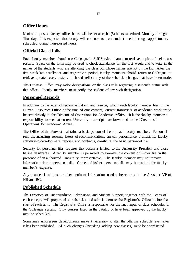### **Office Hours**

Minimum posted faculty office hours will be set at eight (8) hours scheduled Monday through Thursday. It is expected that faculty will continue to meet student needs through appointments scheduled during non-posted hours.

### **Official Class Rolls**

Each faculty member should use Colleague's Self-Service feature to retrieve copies of their class rosters. Space on the form may be used to check attendance for the first week, and to write in the names of the students who are attending the class but whose names are not on the list. After the first week late enrollment and registration period, faculty members should return to Colleague to retrieve updated class rosters. It should reflect any of the schedule changes that have been made.

The Business Office may make designations on the class rolls regarding a student's status with that office. Faculty members must notify the student of any such designation.

### **Personnel Records**

In addition to the letter of recommendation and resume, which each faculty member files in the Human Resources Office at the time of employment, current transcripts of academic work are to be sent directly to the Director of Operations for Academic Affairs. It is the faculty member's responsibility to see that current University transcripts are forwarded to the Director of Operations for Academic Affairs.

The Office of the Provost maintains a basic personnel file on each faculty member. Personnel records, including resume, letters of recommendation, annual performance evaluations, faculty scholarship/development reports, and contracts, constitute the basic personnel file.

Security for personnel files requires that access is limited to the University President and those he/she designates. A faculty member is permitted to examine the content of his/her file in the presence of an authorized University representative. The faculty member may not remove information from a personnel file. Copies of his/her personnel file may be made at the faculty member's expense.

Any changes in address or other pertinent information need to be reported to the Assistant VP of HR and RC.

### **Published Schedule**

The Directors of Undergraduate Admissions and Student Support, together with the Deans of each college, will prepare class schedules and submit them to the Registrar's Office before the start of each term. The Registrar's Office is responsible for the final input of class schedules in the Colleague system. Only courses listed in the catalog or have been approved by the faculty may be scheduled.

Sometimes unforeseen developments make it necessary to alter the offering schedule even after it has been published. All such changes (including adding new classes) must be coordinated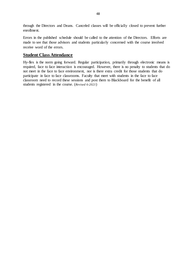through the Directors and Deans. Canceled classes will be officially closed to prevent further enrollment.

Errors in the published schedule should be called to the attention of the Directors. Efforts are made to see that those advisors and students particularly concerned with the course involved receive word of the errors.

### **Student Class Attendance**

Hy-flex is the norm going forward. Regular participation, primarily through electronic means is required, face to face interaction is encouraged. However, there is no penalty to students that do not meet in the face to face environment, nor is there extra credit for those students that do participate in face to face classrooms. Faculty that meet with students in the face to face classroom need to record these sessions and post them to Blackboard for the benefit of all students registered in the course. (*Revised 6-2021*)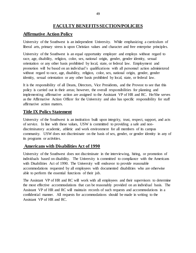### **FACULTY BENEFITS SECTION/POLICIES**

### **Affirmative Action Policy**

University of the Southwest is an independent University. While emphasizing a curriculum of liberal arts, primary stress is upon Christian values and character and free enterprise principles.

University of the Southwest is an equal opportunity employer and employs without regard to race, age, disability, religion, color, sex, national origin, gender, gender identity, sexual orientation or any other basis prohibited by local, state, or federal law. Employment and promotion will be based on an individual's qualifications with all personnel action administered without regard to race, age, disability, religion, color, sex, national origin, gender, gender identity, sexual orientation or any other basis prohibited by local, state, or federal law.

It is the responsibility of all Deans, Directors, Vice Presidents, and the Provost to see that this policy is carried out in their areas; however, the overall responsibilities for planning and implementing affirmative action are assigned to the Assistant VP of HR and RC. He/She serves as the Affirmative Action Officer for the University and also has specific responsibility for staff affirmative action matters.

### **Title IX Policy Statement**

University of the Southwest is an institution built upon integrity, trust, respect, support, and acts of service. In line with these values, USW is committed to providing a safe and nondiscriminatory academic, athletic and work environment for all members of its campus community. USW does not discriminate on the basis of sex, gender, or gender identity in any of its programs or activities.

### **Americans with Disabilities Act of 1990**

University of the Southwest does not discriminate in the interviewing, hiring, or promotion of individuals based on disability. The University is committed to compliance with the Americans with Disabilities Act of 1990. The University will endeavor to provide reasonable accommodations requested by all employees with documented disabilities who are otherwise able to perform the essential functions of their job.

The Assistant VP of HR and RC will work with all employees and their supervisors to determine the most effective accommodations that can be reasonably provided on an individual basis. The Assistant VP of HR and RC will maintain records of such requests and accommodations in a confidential manner. All requests for accommodations should be made in writing to the Assistant VP of HR and RC.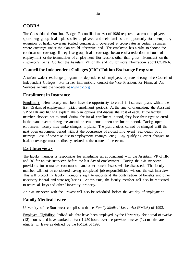# **COBRA**

The Consolidated Omnibus Budget Reconciliation Act of 1986 requires that most employers sponsoring group health plans offer employees and their families the opportunity for a temporary extension of health coverage (called continuation coverage) at group rates in certain instances where coverage under the plan would otherwise end. The employee has a right to choose the continuation coverage if they lose group health coverage because of a reduction in hours of employment or the termination of employment (for reasons other than gross misconduct on the employee's part). Contact the Assistant VP of HR and RC for more information about COBRA.

### **Council for Independent Colleges (CIC) Tuition Exchange Program**

A tuition waiver exchange program for dependents of employees operates through the Council of Independent Colleges. For further information, contact the Vice President for Financial Aid Services or visit the website at [www.cic.org.](http://www.cic.org/)

### **Enrollment in Insurance**

Enrollment: New faculty members have the opportunity to enroll in insurance plans within the first 15 days of employment (initial enrollment period). At the time of orientation, the Assistant VP of HR and RC will explain the plan options and discuss the cost of each. If the faculty member chooses not to enroll during the initial enrollment period, they lose their right to enroll in the plans except during the annual or semi-annual open enrollment period. During open enrollment, faculty may make changes to plans. The plan choices cannot be changed until the next open enrollment period without the occurrence of a qualifying event (i.e., death, birth, marriage, loss of coverage due to employment changes, etc.). Any qualifying event changes to health coverage must be directly related to the nature of the event.

### **Exit Interviews**

The faculty member is responsible for scheduling an appointment with the Assistant VP of HR and RC for an exit interview before the last day of employment. During the exit interview, provisions for insurance continuation and other benefit issues will be discussed. The faculty member will not be considered having completed job responsibilities without the exit interview. This will protect the faculty member's right to understand the continuation of benefits and other necessary federal and state regulations. At this time, the faculty member will also be requested to return all keys and other University property.

An exit interview with the Provost will also be scheduled before the last day of employment.

### **Family Medical Leave**

University of the Southwest complies with the *Family Medical Leave Act* (FMLA) of 1993.

Employee Eligibility: Individuals that have been employed by the University for a total of twelve (12) months and have worked at least 1,250 hours over the previous twelve (12) months are eligible for leave as defined by the FMLA of 1993.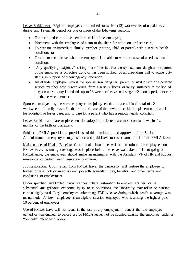Leave Entitlement: Eligible employees are entitled to twelve (12) workweeks of unpaid leave during any 12-month period for one or more of the following reasons:

- The birth and care of the newborn child of the employee;
- Placement with the employee of a son or daughter for adoption or foster care;
- To care for an immediate family member (spouse, child or parent) with a serious health condition: or
- To take medical leave when the employee is unable to work because of a serious health condition.
- "Any qualifying exigency" arising out of the fact that the spouse, son, daughter, or parent of the employee is on active duty, or has been notified of an impending call to active duty status, in support of a contingency operation.
- An eligible employee who is the spouse, son, daughter, parent, or next of kin of a covered service member who is recovering from a serious illness or injury sustained in the line of duty on active duty is entitled up to 26 weeks of leave in a single 12-month period to care for the service member.

Spouses employed by the same employer are jointly entitled to a combined total of 12 workweeks of family leave for the birth and care of the newborn child, for placement of a child for adoption or foster care, and to care for a parent who has a serious health condition.

Leave for birth and care or placement for adoption or foster care must conclude within 12 months of the birth or placement.

Subject to FMLA provisions, provisions of this handbook, and approval of the Senior Administrator, an employee may use accrued paid leave to cover some or all of the FMLA leave.

Maintenance of Health Benefits: Group health insurance will be maintained for employees on FMLA leave, assuming coverage was in place before the leave was taken. Prior to going on FMLA leave, the employees should make arrangements with the Assistant VP of HR and RC for remittance of his/her health insurance premiums.

Job Restoration: Upon return from FMLA leave, the University will restore the employee to his/her original job or an equivalent job with equivalent pay, benefits, and other terms and conditions of employment.

Under specified and limited circumstances where restoration to employment will cause substantial and grievous economic injury to its operations, the University may refuse to reinstate certain highly-paid "key" employees after using FMLA leave during which health coverage was maintained. A "key" employee is an eligible salaried employee who is among the highest-paid 10 percent of employees.

Use of FMLA leave will not result in the loss of any employment benefit that the employee earned or was entitled to before use of FMLA leave, not be counted against the employee under a "no-fault" attendance policy.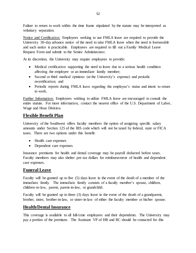Failure to return to work within the time frame stipulated by the statute may be interpreted as voluntary separation.

Notice and Certification: Employees seeking to use FMLA leave are required to provide the University 30-day advance notice of the need to take FMLA leave when the need is foreseeable and such notice is practicable. Employees are required to fill out a Family Medical Leave Request Form and submit to the Senior Administrator.

At its discretion, the University may require employees to provide:

- Medical certification supporting the need to leave due to a serious health condition affecting the employee or an immediate family member;
- Second or third medical opinions (at the University's expense) and periodic recertification; and
- Periodic reports during FMLA leave regarding the employee's status and intent to return to work.

Further Information: Employees wishing to utilize FMLA leave are encouraged to consult the entire statute. For more information, contact the nearest office of the U.S. Department of Labor, Wage and Hour Division.

### **Flexible Benefit Plan**

University of the Southwest offers faculty members the option of assigning specific salary amounts under Section 125 of the IRS code which will not be taxed by federal, state or FICA taxes. There are two options under this benefit:

- Health care expenses
- Dependent care expenses

Insurance premiums for health and dental coverage may be payroll deducted before taxes. Faculty members may also shelter pre-tax dollars for reimbursement of health and dependent care expenses.

### **Funeral Leave**

Faculty will be granted up to five (5) days leave in the event of the death of a member of the immediate family. The immediate family consists of a faculty member's spouse, children, children-in-law, parent, parent-in-law, or grandchild.

Faculty will be granted up to three (3) days leave in the event of the death of a grandparent, brother, sister, brother-in-law, or sister-in-law of either the faculty member or his/her spouse.

### **Health/Dental Insurance**

This coverage is available to all full-time employees and their dependents. The University may pay a portion of the premium. The Assistant VP of HR and RC should be contacted for this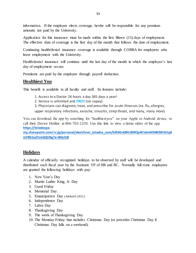information. If the employee elects coverage, he/she will be responsible for any premium amounts not paid by the University.

Application for this insurance must be made within the first fifteen (15) days of employment. The effective date of coverage is the first day of the month that follows the date of employment.

Continuing health/dental insurance coverage is available through COBRA for employees who leave employment with the University.

Health/dental insurance will continue until the last day of the month in which the employee's last day of employment occurs.

Premiums are paid by the employee through payroll deduction.

### **Healthiest You**

This benefit is available to all faculty and staff. Its features include:

- 1. Access to a Doctor 24 hours a day 365 days a year!
- 2. Service is unlimited and **FREE**! (no copay)
- 3. Physicians can diagnose, treat, and prescribe for acute illnesses (ex. flu, allergies,

upper respiratory infections, earache, sinusitis, strep throat, and many, many more)

You can download the app by searching for "healthiestyou" on your Apple or Android device, or call their Doctor Hotline at 866-703-1259. Use this link to view a demo video of the app **[https://teladocpa-](https://teladocpa-my.sharepoint.com/:v:/g/personal/akelchner_teladoc_com/EdfdGnt8Ih1BlRQyW1dmM34B3W5Uiq8mYBh1xzFUoSQGNg?e=BXelU0)**

**[my.sharepoint.com/:v:/g/personal/akelchner\\_teladoc\\_com/EdfdGnt8Ih1BlRQyW1dmM34B3W5Uiq8](https://teladocpa-my.sharepoint.com/:v:/g/personal/akelchner_teladoc_com/EdfdGnt8Ih1BlRQyW1dmM34B3W5Uiq8mYBh1xzFUoSQGNg?e=BXelU0) [mYBh1xzFUoSQGNg?e=BXelU0](https://teladocpa-my.sharepoint.com/:v:/g/personal/akelchner_teladoc_com/EdfdGnt8Ih1BlRQyW1dmM34B3W5Uiq8mYBh1xzFUoSQGNg?e=BXelU0)**

#### **Holidays**

A calendar of officially recognized holidays to be observed by staff will be developed and distributed each fiscal year by the Assistant VP of HR and RC. Normally full-time employees are granted the following holidays with pay:

- 1. New Year's Day
- 2. Martin Luther King, Jr. Day
- 3. Good Friday
- 4. Memorial Day
- 5. Emancipation Day *(Added 6-2021)*
- 6. Independence Day
- 7. Labor Day
- 8. Thanksgiving Day
- 9. The week of Thanksgiving Day
- 10. The Monday-Friday that includes Christmas Day (or precedes Christmas Day if Christmas Day falls on a weekend).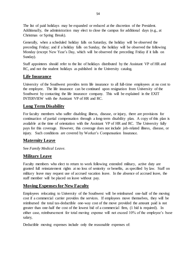The list of paid holidays may be expanded or reduced at the discretion of the President. Additionally, the administration may elect to close the campus for additional days (e.g., at Christmas or Spring Break).

Generally, when a scheduled holiday falls on Saturday, the holiday will be observed the preceding Friday; and if a holiday falls on Sunday, the holiday will be observed the following Monday (except New Year's Day, which will be observed the preceding Friday if it falls on Sunday).

Staff appointees should refer to the list of holidays distributed by the Assistant VP of HR and RC, and not the student holidays as published in the University catalog.

### **Life Insurance**

University of the Southwest provides term life insurance to all full-time employees at no cost to the employee. The life insurance can be continued upon resignation from University of the Southwest by contacting the life insurance company. This will be explained in the EXIT INTERVIEW with the Assistant VP of HR and RC.

### **Long Term Disability**

For faculty members who suffer disabling illness, disease, or injury, there are provisions for continuation of partial compensation through a long-term disability plan. A copy of this plan is available at the time of orientation with the Assistant VP of HR and RC. The University fully pays for this coverage. However, this coverage does not include job-related illness, disease, or injury. Such conditions are covered by Worker's Compensation Insurance.

### **Maternity Leave**

See *Family Medical Leave.*

### **Military Leave**

Faculty members who elect to return to work following extended military, active duty are granted full reinstatement rights at no loss of seniority or benefits, as specified by law. Staff on military leave may request use of accrued vacation leave. In the absence of accrued leave, the staff member will be placed on leave without pay.

### **Moving Expenses for New Faculty**

Employees relocating to University of the Southwest will be reimbursed one-half of the moving cost if a commercial carrier provides the services. If employees move themselves, they will be reimbursed the total tax-deductible one-way cost of the move provided the amount paid is not greater than one-half the cost of the lowest bid of a commercial firm, (1 bid is required). In either case, reimbursement for total moving expense will not exceed 10% of the employee's base salary,

Deductible moving expenses include only the reasonable expenses of: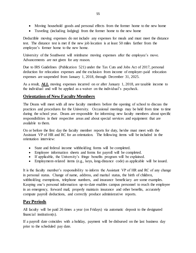- Moving household goods and personal effects from the former home to the new home
- Traveling (including lodging) from the former home to the new home

Deductible moving expenses do not include any expenses for meals and must meet the distance test. The distance test is met if the new job location is at least 50 miles farther from the employee's former home to the new home.

University of the Southwest will reimburse moving expenses after the employee's move. Advancements are not given for any reason.

Due to IRS Guidelines (Publication 521) under the Tax Cuts and Jobs Act of 2017, personal deduction for relocation expenses and the exclusion from income of employer-paid relocation expenses are suspended from January 1, 2018, through December 31, 2025.

As a result, **ALL** moving expenses incurred on or after January 1, 2018, are taxable income to the individual and will be applied as a waiver on the individual's paycheck.

### **Orientation of New Faculty Members**

The Deans will meet with all new faculty members before the opening of school to discuss the practices and procedures for the University. Occasional meetings may be held from time to time during the school year. Deans are responsible for informing new faculty members about specific responsibilities in their respective areas and about special services and equipment that are available to them.

On or before the first day the faculty member reports for duty, he/she must meet with the Assistant VP of HR and RC for an orientation. The following items will be included in the orientation interview:

- State and federal income withholding forms will be completed.
- Employee information sheets and forms for payroll will be completed.
- If applicable, the University's fringe benefits program will be explained.
- Employment-related items (e.g., keys, long-distance code) as applicable will be issued.

It is the faculty member's responsibility to inform the Assistant VP of HR and RC of any change in personal status. Change of name, address, and marital status, the birth of children, withholding exemptions, telephone numbers, and insurance beneficiary are some examples. Keeping one's personal information up-to-date enables campus personnel to reach the employee in an emergency, forward mail, properly maintain insurance and other benefits, accurately compute payroll deductions, and correctly produce administrative reports.

# **Pay Periods**

All faculty will be paid 26 times a year (on Fridays) via automatic deposit to the designated financial institution(s).

If a payroll date coincides with a holiday, payment will be disbursed on the last business day prior to the scheduled pay date.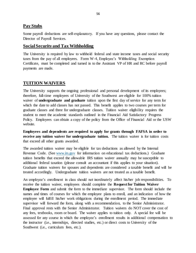### **Pay Stubs**

Some payroll deductions are self-explanatory. If you have any questions, please contact the Director of Payroll Services.

### **Social Security and Tax Withholding**

The University is required by law to withhold federal and state income taxes and social security taxes from the pay of all employees. Form W-4, Employee's Withholding Exemption Certificate, must be completed and turned in to the Assistant VP of HR and RC before payroll payments are made.

### **TUITION WAIVERS**

The University supports the ongoing professional and personal development of its employees; therefore, full-time employees of University of the Southwest are eligible for 100% tuition waiver of **undergraduate and graduate** tuition upon the first day of service for any term for which the date to add classes has not passed. This benefit applies to two courses per term for graduate classes and three for undergraduate classes. Tuition waiver eligibility requires the student to meet the academic standards outlined in the Financial Aid Satisfactory Progress Policy. Employees can obtain a copy of the policy from the Office of Financial Aid or the USW website.

**Employees and dependents are required to apply for grants through FAFSA in order to receive any tuition waiver for undergraduate tuition.** The tuition waiver is for tuition costs that exceed all other grants awarded.

The awarded tuition waiver may be eligible for tax deductions as allowed by the Internal Revenue Code. (See [www.irs.gov](http://www.irs.gov/) for information on educational tax deductions.) Graduate tuition benefits that exceed the allowable IRS tuition waiver annually may be susceptible to additional federal taxation (please consult an accountant if this applies to your situation). Graduate tuition waivers for spouses and dependents are considered a taxable benefit and will be treated accordingly. Undergraduate tuition waivers are not treated as a taxable benefit.

An employee's enrollment in class should not inordinately affect his/her job responsibilities. To receive the tuition waiver, employees should complete the **Request for Tuition Waiver Employee Form** and submit the form to the immediate supervisor. The form should include the names and times of courses for which the employee plans to enroll, and an indication of how the employee will fulfill his/her work obligations during the enrollment period. The immediate supervisor will forward the form, along with a recommendation, to the Senior Administrator. Final approval rests with the Senior Administrator. Tuition waivers do NOT cover the cost of any fees, textbooks, room or board. The waiver applies to tuition only. A special fee will be assessed for any course in which the employee's enrollment results in additional compensation to the instructor (i.e., internships, directed studies, etc.) or direct costs to University of the Southwest (i.e., curriculum fees, etc.).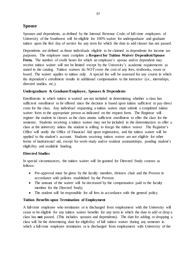### **Spouse**

Spouses and dependents, as defined by the Internal Revenue Code, of full-time employees of University of the Southwest will be eligible for 100% waiver for undergraduate and graduate tuition upon the first day of service for any term for which the date to add classes has not passed.

Dependents are defined as those individuals eligible to be claimed as dependents for income tax purposes. The employee must complete a **Request for Tuition Waiver Dependent/Spouse**  Form. The number of credit hours for which an employee's spouse and/or dependent may receive tuition waiver will not be limited except by the University's academic requirements as stated in the catalog. Tuition waivers do NOT cover the cost of any fees, textbooks, room or board. The waiver applies to tuition only. A special fee will be assessed for any course in which the dependent's enrollment results in additional compensation to the instructor (i.e., internships, directed studies, etc.).

#### **Undergraduate & Graduate/Employee, Spouses & Dependents**

Enrollments in which tuition is waived are not included in determining whether a class has sufficient enrollment to be offered since the decision is based upon tuition sufficient to pay direct costs for the class. Any individual requesting a tuition waiver must submit a completed tuition waiver form to the appropriate person as indicated on the request form. The Registrar will register the student in classes as the class attains sufficient enrollment to offer the class for the semester. Students receiving a tuition waiver may not be included in the determination to offer a class at the university unless the student is willing to forego the tuition waiver. The Registrar's Office will notify the Office of Financial Aid upon registration, and the tuition waiver will be applied to the student's account. Students receiving tuition waiver are not eligible for other forms of institutional aid, except for work-study and/or resident assistantships, pending student's eligibility and available funding.

#### **Directed Studies**

In special circumstances, the tuition waiver will be granted for Directed Study courses as follows:

- Pre-approval must be given by the faculty member, division chair and the Provost in accordance with policies established by the Provost;
- The amount of the waiver will be decreased by the compensation paid to the faculty member for the Directed Study;
- The student will be responsible for all fees in accordance with the general policy.

#### **Tuition Benefits upon Termination of Employment**

A full-time employee who terminates or is discharged from employment with the University will cease to be eligible for any tuition waiver benefits for any term in which the date to add or drop a class has **not** passed. (This includes spouses and dependents). The date for adding or dropping a class will be the determining date for eligibility of full tuition waiver during any semester in which a full-time employee terminates or is discharged from employment with University of the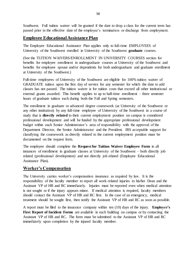Southwest. Full tuition waiver will be granted if the date to drop a class for the current term has passed prior to the effective date of the employee's termination or discharge from employment.

#### **Employee Educational Assistance Plan**

The Employee Educational Assistance Plan applies only to full-time EMPLOYEES of University of the Southwest enrolled in University of the Southwest **graduate** courses.

(See the TUITION WAIVERS/ENROLLMENT IN UNIVERSITY COURSES section for benefits for employee enrollment in undergraduate courses at University of the Southwest and benefits for employee spouse and/or dependents for both undergraduate and graduate enrollment at University of the Southwest.)

Full-time employees of University of the Southwest are eligible for 100% tuition waiver of GRADUATE tuition upon the first day of service for any semester for which the date to add classes has not passed. The tuition waiver is for tuition costs that exceed all other institutional or external grants awarded. This benefit applies to up to half-time enrollment – three semester hours of graduate tuition each during both the Fall and Spring semesters.

The enrollment in graduate or advanced degree coursework (at University of the Southwest or any other institution) by any full-time employee of University of the Southwest in a course of study that is **directly related** to their current employment position on campus is considered professional development and will be funded by the appropriate professional development budget within each Senior Administrator's area of responsibility with the approval of the Department Director, the Senior Administrator and the President. IRS acceptable support for classifying the coursework as directly related to the current employment position must be documented on the request form.

The employee should complete the **Request for Tuition Waiver Employee Form** in all instances of enrollment in graduate classes at University of the Southwest – both directly job related (professional development) and not directly job related (Employee Educational Assistance Plan).

### **Worker's Compensation**

The University carries worker's compensation insurance as required by law. It is the responsibility of the faculty member to report all work-related injuries to his/her Dean and the Assistant VP of HR and RC immediately. Injuries must be reported even when medical attention is not sought or if the injury appears minor. If medical attention is required, faculty members should contact the Assistant VP of HR and RC first. In the case of an emergency, medical treatment should be sought first, then notify the Assistant VP of HR and RC as soon as possible.

A report must be filed to the insurance company within ten (10) days of the injury. **Employer's First Report of Incident Forms** are available in each building on campus or by contacting the Assistant VP of HR and RC. The form must be submitted to the Assistant VP of HR and RC immediately upon completion by the injured faculty member.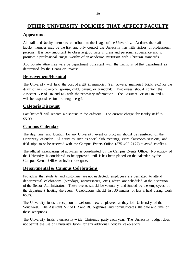# **OTHER UNIVERSITY POLICIES THAT AFFECT FACULTY**

### **Appearance**

All staff and faculty members contribute to the image of the University. At times the staff or faculty member may be the first and only contact the University has with visitors or professional persons. It is very important to observe good taste in dress and personal appearance and to promote a professional image worthy of an academic institution with Christian standards.

Appropriate attire may vary by department consistent with the functions of that department as determined by the Deans or Provost.

#### **Bereavement/Hospital**

The University will fund the cost of a gift in memorial (i.e., flowers, memorial brick, etc.) for the death of an employee's spouse, child, parent, or grandchild. Employees should contact the Assistant VP of HR and RC with the necessary information. The Assistant VP of HR and RC will be responsible for ordering the gift.

#### **Cafeteria Discount**

Faculty/Staff will receive a discount in the cafeteria. The current charge for faculty/staff is \$5.00.

#### **Campus Calendar**

The day, time, and location for any University event or program should be registered on the University calendar. All activities such as social club meetings, extra classroom sessions, and field trips must be reserved with the Campus Events Office (575-492-2177) to avoid conflicts.

The official calendaring of activities is coordinated by the Campus Events Office. No activity of the University is considered to be approved until it has been placed on the calendar by the Campus Events Office or his/her designee.

### **Departmental & Campus Celebrations**

Providing that students and customers are not neglected, employees are permitted to attend departmental celebrations (birthdays, anniversaries, etc.), which are scheduled at the discretion of the Senior Administrator. These events should be voluntary and funded by the employees of the department hosting the event. Celebrations should last 30 minutes or less if held during work hours.

The University funds a reception to welcome new employees as they join University of the Southwest. The Assistant VP of HR and RC organizes and communicates the date and time of these receptions.

The University funds a university-wide Christmas party each year. The University budget does not permit the use of University funds for any additional holiday celebrations.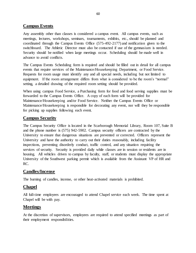### **Campus Events**

Any assembly other than classes is considered a campus event. All campus events, such as meetings, lectures, workshops, seminars, tournaments, exhibits, etc., should be planned and coordinated through the Campus Events Office (575-492-2177) and notification given to the switchboard. The Athletic Director must also be contacted if use of the gymnasium is needed. Security should be notified when large meetings occur. Scheduling should be made well in advance to avoid conflicts.

The Campus Events Scheduling form is required and should be filled out in detail for all campus events that require services of the Maintenance/Housekeeping Department, or Food Service. Requests for room usage must identify any and all special needs, including but not limited to equipment. If the room arrangement differs from what is considered to be the room's "normal" setting, a detailed drawing of the required room setting should be provided.

When using campus Food Service, a Purchasing form for food and food serving supplies must be forwarded to the Campus Events Office. A copy of each form will be provided for Maintenance/Housekeeping and/or Food Service. Neither the Campus Events Office or Maintenance/Housekeeping is responsible for decorating any event, nor will they be responsible for picking up supplies following each event.

### **Campus Security**

The Campus Security Office is located in the Scarborough Memorial Library, Room 107, Suite B and the phone number is (575) 942-5902. Campus security officers are contracted by the University to ensure that dangerous situations are prevented or corrected. Officers represent the University and have the authority to carry out their duties reasonably, including facility inspections, preventing disorderly conduct, traffic control, and any situation requiring the services of security. Security is provided daily while classes are in session or residents are in housing. All vehicles driven to campus by faculty, staff, or students must display the appropriate University of the Southwest parking permit which is available from the Assistant VP of HR and RC.

### **Candles/Incense**

The burning of candles, incense, or other heat-activated materials is prohibited.

# **Chapel**

All full-time employees are encouraged to attend Chapel service each week. The time spent at Chapel will be with pay.

### **Meetings**

At the discretion of supervisors, employees are required to attend specified meetings as part of their employment responsibilities.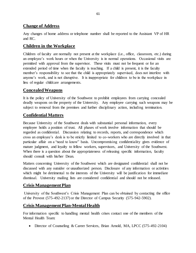### **Change of Address**

Any changes of home address or telephone number shall be reported to the Assistant VP of HR and RC.

### **Children in the Workplace**

Children of faculty are normally not present at the workplace (i.e., office, classroom, etc.) during an employee's work hours or when the University is in normal operations. Occasional visits are permitted with approval from the supervisor. These visits must not be frequent or for an extended period of time when the faculty is teaching. If a child is present, it is the faculty member's responsibility to see that the child is appropriately supervised, does not interfere with anyone's work, and is not disruptive. It is inappropriate for children to be in the workplace in lieu of regular childcare arrangements.

### **Concealed Weapons**

It is the policy of University of the Southwest to prohibit employees from carrying concealed deadly weapons on the property of the University. Any employee carrying such weapons may be subject to removal from the premises and further disciplinary action, including termination.

### **Confidential Matters**

Because University of the Southwest deals with substantial personal information, every employee holds a position of trust. All phases of work involve information that should be regarded as confidential. Discussion relating to records, reports, and correspondence which cross an employee's desk is to be strictly limited to co-workers who are directly involved in that particular affair on a "need to know" basis. Uncompromising confidentiality gives evidence of mature judgment, and loyalty to fellow workers, supervisors, and University of the Southwest. When there is a question about the appropriateness of releasing specific information, faculty should consult with his/her Dean.

Matters concerning University of the Southwest which are designated confidential shall not be discussed with any outsider or unauthorized person. Disclosure of any information or activities which might be detrimental to the interests of the University will be justification for immediate dismissal. University mailing lists are considered confidential and should not be released.

### **Crisis Management Plan**

University of the Southwest's Crisis Management Plan can be obtained by contacting the office of the Provost (575-492-2137) or the Director of Campus Security (575-942-5902).

### **Crisis Management Plan-Mental Health**

For information specific to handling mental health crises contact one of the members of the Mental Health Team:

• Director of Counseling & Career Services, Brian Arnold, MA, LPCC (575-492-2104)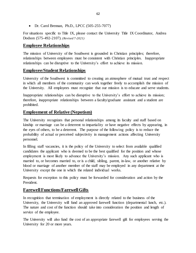• Dr. Carol Brennan, Ph.D., LPCC (505-255-7077)

For situations specific to Title IX, please contact the University Title IX Coordinator, Andrea Dodson (575-492-2107). *(Revised 7-2021)*

#### **Employee Relationships**

The mission of University of the Southwest is grounded in Christian principles; therefore, relationships between employees must be consistent with Christian principles. Inappropriate relationships can be disruptive to the University's effort to achieve its mission.

#### **Employee/Student Relationships**

University of the Southwest is committed to creating an atmosphere of mutual trust and respect in which all members of the community can work together freely to accomplish the mission of the University. All employees must recognize that our mission is to educate and serve students.

Inappropriate relationships can be disruptive to the University's effort to achieve its mission; therefore, inappropriate relationships between a faculty/graduate assistant and a student are prohibited.

### **Employment of Relative (Nepotism)**

The University recognizes that personal relationships among its faculty and staff based on kinship or marriage can be a deterrent to impartiality or have negative effects by appearing, in the eyes of others, to be a deterrent. The purpose of the following policy is to reduce the probability of actual or perceived subjectivity in management actions affecting University personnel.

In filling staff vacancies, it is the policy of the University to select from available qualified candidates the applicant who is deemed to be the best qualified for the position and whose employment is most likely to advance the University's mission. Any such applicant who is married to, or becomes married to, or is a child, sibling, parent, in-law, or another relative by blood or marriage of another member of the staff may be employed in any department at the University except the one in which the related individual works.

Requests for exception to this policy must be forwarded for consideration and action by the President.

### **Farewell Functions/Farewell Gifts**

In recognition that termination of employment is directly related to the business of the University, the University will fund an approved farewell function (departmental lunch, etc.). The nature and cost of the function should take into consideration the position and length of service of the employee.

The University will also fund the cost of an appropriate farewell gift for employees serving the University for 20 or more years.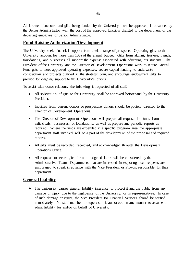All farewell functions and gifts being funded by the University must be approved, in advance, by the Senior Administrator with the cost of the approved function charged to the department of the departing employee or Senior Administrator.

### **Fund Raising Authorization/Development**

The University seeks financial support from a wide range of prospects. Operating gifts to the University account for more than 10% of the annual budget. Gifts from alumni, trustees, friends, foundations, and businesses all support the expense associated with educating our students. The President of the University and the Director of Development Operations work to secure Annual Fund gifts to meet approved operating expenses, secure capital funding to underwrite construction and projects outlined in the strategic plan, and encourage endowment gifts to provide for ongoing support to the University's efforts.

To assist with donor relations, the following is requested of all staff:

- All solicitation of gifts to the University shall be approved beforehand by the University President.
- Inquiries from current donors or prospective donors should be politely directed to the Director of Development Operations.
- The Director of Development Operations will prepare all requests for funds from individuals, businesses, or foundations, as well as prepare any periodic reports as required. Where the funds are expended in a specific program area, the appropriate department staff involved will be a part of the development of the proposal and required reports.
- All gifts must be recorded, receipted, and acknowledged through the Development Operations Office.
- All requests to secure gifts for non-budgeted items will be considered by the Administrative Team. Departments that are interested in exploring such requests are encouraged to speak in advance with the Vice President or Provost responsible for their department.

# **General Liability**

• The University carries general liability insurance to protect it and the public from any damage or injury due to the negligence of the University, or its representatives. In case of such damage or injury, the Vice President for Financial Services should be notified immediately. No staff member or supervisor is authorized in any manner to assume or admit liability for and/or on behalf of University.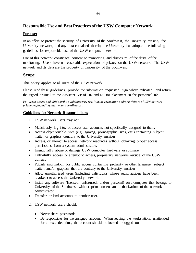# **Responsible Use and Best Practices of the USW Computer Network**

#### **Purpose:**

In an effort to protect the security of University of the Southwest, the University mission, the University network, and any data contained therein, the University has adopted the following guidelines for responsible use of the USW computer network.

Use of this network constitutes consent to monitoring and disclosure of the fruits of the monitoring. Users have no reasonable expectation of privacy on the USW network. The USW network and its data are the property of University of the Southwest.

### **Scope**

This policy applies to all users of the USW network.

Please read these guidelines, provide the information requested, sign where indicated, and return the signed original to the Assistant VP of HR and RC for placement in the personnel file.

*Failure to accept and abide by the guidelines may result in the revocation and/or forfeiture of USW network privileges,including internet and email access.*

#### **Guidelines for Network Responsibilities**

- 1. USW network users may not:
- Maliciously log into, or access user accounts not specifically assigned to them.
- Access objectionable sites (e.g., gaming, pornographic sites, etc.) containing subject matter or graphics contrary to the University mission.
- Access, or attempt to access, network resources without obtaining proper access permissions from a system administrator.
- Intentionally abuse or damage USW computer hardware or software.
- Unlawfully access, or attempt to access, proprietary networks outside of the USW domain.
- Publish information for public access containing profanity or other language, subject matter, and/or graphics that are contrary to the University mission.
- Allow unauthorized users (including individuals whose authorizations have been revoked) to access the University network.
- Install any software (licensed, unlicensed, and/or personal) on a computer that belongs to University of the Southwest without prior consent and authorization of the network administrator.
- Transfer or lend accounts to another user.
- 2. USW network users should:
	- Never share passwords.
	- Be responsible for the assigned account. When leaving the workstations unattended for an extended time, the account should be locked or logged out.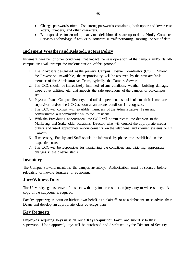- Change passwords often. Use strong passwords containing both upper and lower case letters, numbers, and other characters.
- Be responsible for ensuring that virus definition files are up to date. Notify Computer Services/Technology if anti-virus software is malfunctioning, missing, or out of date.

#### **Inclement Weather and Related Factors Policy**

Inclement weather or other conditions that impact the safe operation of the campus and/or its offcampus sites will prompt the implementation of this protocol.

- 1. The Provost is designated as the primary Campus Closure Coordinator (CCC). Should the Provost be unavailable, the responsibility will be assumed by the next available member of the Administrative Team, typically the Campus Steward.
- 2. The CCC should be immediately informed of any condition, weather, building damage, inoperative utilities, etc. that impacts the safe operations of the campus or off-campus site.
- 3. Physical Plant, Campus Security, and off-site personnel should inform their immediate supervisor and/or the CCC as soon as an unsafe condition is recognized.
- 4. The CCC will consult with available members of the Administrative Team and communicate a recommendation to the President.
- 5. With the President's concurrence, the CCC will communicate the decision to the Marketing and Stakeholder Relations Director who will contact the appropriate media outlets and insert appropriate announcements on the telephone and internet systems or EZ Campus.
- 6. If necessary, Faculty and Staff should be informed by phone-tree established in the respective units.
- 7. The CCC will be responsible for monitoring the conditions and initiating appropriate changes in the closure status.

#### **Inventory**

The Campus Steward maintains the campus inventory. Authorization must be secured before relocating or moving furniture or equipment.

#### **Jury/Witness Duty**

The University grants leave of absence with pay for time spent on jury duty or witness duty. A copy of the subpoena is required.

Faculty appearing in court on his/her own behalf as a plaintiff or as a defendant must advise their Deans and develop an appropriate class coverage plan.

### **Key Requests**

Employees requiring keys must fill out a **Key Requisition Form** and submit it to their supervisor. Upon approval, keys will be purchased and distributed by the Director of Security.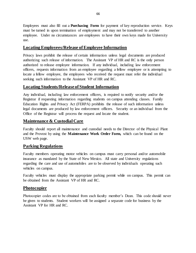Employees must also fill out a **Purchasing Form** for payment of key reproduction service. Keys must be turned in upon termination of employment and may not be transferred to another employee. Under no circumstances are employees to have their own keys made for University use.

### **Locating Employees/Release of Employee Information**

Privacy laws prohibit the release of certain information unless legal documents are produced authorizing such release of information. The Assistant VP of HR and RC is the only person authorized to release employee information. If any individual, including law enforcement officers, requests information from an employee regarding a fellow employee or is attempting to locate a fellow employee, the employees who received the request must refer the individual seeking such information to the Assistant VP of HR and RC.

### **Locating Students/Release of Student Information**

Any individual, including law enforcement officers, is required to notify security and/or the Registrar if requesting information regarding students on campus attending classes. Family Education Rights and Privacy Act (FERPA) prohibits the release of such information unless legal documents are produced by law enforcement officers. Security or an individual from the Office of the Registrar will process the request and locate the student.

### **Maintenance & Custodial Care**

Faculty should report all maintenance and custodial needs to the Director of the Physical Plant and the Provost by using the **Maintenance Work Order Form,** which can be found on the USW web page.

### **Parking Regulations**

Faculty members operating motor vehicles on campus must carry personal and/or automobile insurance as mandated by the State of New Mexico. All state and University regulations regarding the care and use of automobiles are to be observed by individuals operating such vehicles on campus.

Faculty vehicles must display the appropriate parking permit while on campus. This permit can be obtained from the Assistant VP of HR and RC.

### **Photocopier**

Photocopier codes are to be obtained from each faculty member's Dean. This code should never be given to students. Student workers will be assigned a separate code for business by the Assistant VP for HR and RC.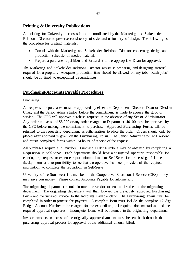### **Printing & University Publications**

All printing for University purposes is to be coordinated by the Marketing and Stakeholder Relations Director to preserve consistency of style and uniformity of design. The following is the procedure for printing materials:

- Consult with the Marketing and Stakeholder Relations Director concerning design and production schedule of needed material.
- Prepare a purchase requisition and forward it to the appropriate Dean for approval.

The Marketing and Stakeholder Relations Director assists in preparing and designing material required for a program. Adequate production time should be allowed on any job. "Rush jobs" should be confined to exceptional circumstances.

### **Purchasing/Accounts Payable Procedures**

#### Purchasing

All requests for purchases must be approved by either the Department Director, Dean or Division Chair, and the Senior Administrator before the commitment is made to acquire the good or service. The CFO will approve purchase requests in the absence of any Senior Administrator. Any order in excess of \$5,000 or any order charged to Department 40100 must be approved by the CFO before making the commitment to purchase. Approved **Purchasing Forms** will be returned to the requesting department as authorization to place the order. Orders should only be placed after approval is given on the **Purchasing Form**. The Senior Administrator will review and return completed forms within 24 hours of receipt of the request.

**All** purchases require a PO number. Purchase Order Numbers may be obtained by completing a Requisition in Self-Serve. Each department should have a designated operative responsible for entering trip request or expense report information into Self-Serve for processing. It is the faculty member's responsibility to see that the operative has been provided all the required information to complete the requisition in Self-Serve.

University of the Southwest is a member of the Cooperative Educational Service  $(CES)$  – they may save you money. Please contact Accounts Payable for information.

The originating department should instruct the vendor to send all invoices to the originating department. The originating department will then forward the previously approved **Purchasing Form** and the initialed invoice to the Accounts Payable clerk. The **Purchasing Form** must be completed in order to process the payment. A complete form must include the complete 12-digit Budget Account Number to be charged for the expenditure, all required documentation, and the required approval signatures. Incomplete forms will be returned to the originating department.

Invoice amounts in excess of the originally approved amount must be sent back through the purchasing approval process for approval of the additional amount billed.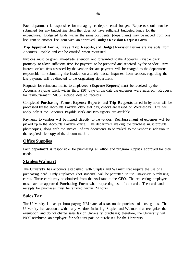Each department is responsible for managing its departmental budget. Requests should not be submitted for any budget line item that does not have sufficient budgeted funds for the expenditure. Budgeted funds within the same cost center (department) may be moved from one line item to another line item with an approved **Budget Revision Request Form**.

**Trip Approval Forms, Travel Trip Reports,** and **Budget Revision Forms** are available from Accounts Payable and can be emailed when requested.

Invoices must be given immediate attention and forwarded to the Accounts Payable clerk promptly to allow sufficient time for payment to be prepared and received by the vendor. Any interest or late fees assessed by the vendor for late payment will be charged to the department responsible for submitting the invoice on a timely basis. Inquiries from vendors regarding the late payment will be directed to the originating department.

Requests for reimbursements to employees (**Expense Reports**) must be received by the Accounts Payable Clerk within thirty (30) days of the date the expenses were incurred. Requests for reimbursement MUST include detailed receipts.

Completed **Purchasing Forms, Expense Reports**, and **Trip Requests** turned in by noon will be processed by the Accounts Payable clerk that day, checks are issued on Wednesday. This will apply only if the Accounts Payable clerk and two signers are available.

Payments to vendors will be mailed directly to the vendor. Reimbursement of expenses will be picked up in the Accounts Payable office. The department making the purchase must provide photocopies, along with the invoice, of any documents to be mailed to the vendor in addition to the required file copy of the documentation.

### **Office Supplies**

Each department is responsible for purchasing all office and program supplies approved for their needs.

### **Staples/Walmart**

The University has accounts established with Staples and Walmart that require the use of a purchasing card. Only employees (not students) will be permitted to use University purchasing cards. These cards may be obtained from the Assistant to the CFO. The requesting employee must have an approved **Purchasing Form** when requesting use of the cards. The cards and receipts for purchases must be returned within 24 hours.

### **Sales Tax**

The University is exempt from paying NM state sales tax on the purchase of most goods. The University has accounts with many vendors including Staples and Walmart that recognize the exemption and do not charge sales tax on University purchases; therefore, the University will NOT reimburse an employee for sales tax paid on purchases for the University.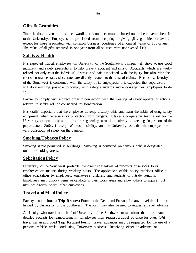### **Gifts & Gratuities**

The selection of vendors and the awarding of contracts must be based on the best overall benefit to the University. Employees are prohibited from accepting or giving gifts, gratuities or favors, except for those associated with common business courtesies of a nominal value of \$50 or less. The value of all gifts received in one year from all sources must not exceed \$100.

### **Safety & Health**

It is expected that all employees on University of the Southwest's campus will strive to use good judgment and safety precautions to help prevent accident and injury. Accidents which are workrelated not only cost the individual distress and pain associated with the injury but also raise the cost of insurance rates since rates are directly related to the cost of claims. Because University of the Southwest is concerned with the safety of its employees, it is expected that supervisors will do everything possible to comply with safety standards and encourage their employees to do so.

Failure to comply with a direct order in connection with the wearing of safety apparel or actions relative to safety will be considered insubordination.

It is vitally important that the employee develop a safety ethic and learn the habits of using safety equipment when necessary for protection from dangers. It takes a cooperative team effort for the University campus to be safe – from straightening a rug in a hallway to keeping fingers out of the paper cutter. Safety is everyone's responsibility, and the University asks that the employee be very conscious of safety on the campus.

### **Smoking/Tobacco Policy**

Smoking is not permitted in buildings. Smoking is permitted on campus only in designated outdoor smoking areas.

### **Solicitation Policy**

University of the Southwest prohibits the direct solicitation of products or services to its employees or students during working hours. The application of this policy prohibits office-tooffice solicitation by employees, employee's children, and students or outside vendors. Employees may display items or catalogs in their work areas and allow others to inquire, but may not directly solicit other employees.

### **Travel and Meal Policy**

Faculty must submit a **Trip Request Form** to the Dean and Provost for any travel that is to be funded by University of the Southwest. The form may also be used to request a travel advance.

All faculty who travel on behalf of University of the Southwest must submit the appropriate detailed receipts for reimbursement. Employees may request a travel advance for *overnight*  travel via an approved **Trip Request Form.** Travel advances may be requested for the use of a personal vehicle while conducting University business. Receiving either an advance or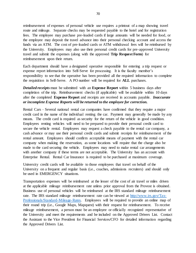reimbursement of expenses of personal vehicle use requires a printout of a map showing travel route and mileage. Separate checks may be requested payable to the hotel and for registration fees. The employee may purchase pre-loaded cards if large amounts will be needed for food, or the employee may deposit the travel advance into their personal checking account and access the funds via an ATM. The cost of pre-loaded cards or ATM withdrawal fees will be reimbursed by the University. Employees may also use their personal credit cards for pre-approved University travel and submit the expenses (along with the approved **Trip Request Form**) for reimbursement upon their return.

Each department should have a designated operative responsible for entering a trip request or expense report information into Self-Serve for processing. It is the faculty member's responsibility to see that the operative has been provided all the required information to complete the requisition in Self-Serve. A PO number will be required for **ALL** purchases.

*Detailed receipts* must be submitted with an **Expense Report** within 5 business days after completion of the trip. Reimbursement checks (if applicable) will be available within 10 days after the completed **Expense Report** and receipts are received in accounts payable. *Inaccurate or incomplete Expense Reports will be returned to the employee for correction.*

Rental Cars – Several national rental car companies have confirmed that they require a major credit card in the name of the individual renting the car. Payment may generally be made by any means. The credit card is required as security for the return of the vehicle in good condition. Employees renting vehicles will need to be prepared to provide their personal credit card to secure the vehicle rental. Employees may request a check payable to the rental car company, a cash advance or may use their personal credit cards and submit receipts for reimbursement of the rental amount. Employees should confirm acceptable means of payment with the rental car company when making the reservation, as some locations will require that the charge also be made to the card securing the vehicle. Employees may need to make rental car arrangements with another company if these terms are not acceptable. The University has an account with Enterprise Rental. Rental Car Insurance is required to be purchased at maximum coverage.

University credit cards will be available to those employees that travel on behalf of the University on a frequent and regular basis (i.e., coaches, admissions recruiters) and should only be used in EMERGENCY situations.

Transportation expenses will be reimbursed at the lesser of the cost of air travel or miles driven at the applicable mileage reimbursement rate unless prior approval from the Provost is obtained. Business use of personal vehicles will be reimbursed at the IRS standard mileage reimbursement rate. The IRS standard mileage reimbursement rate can be viewed at [http://www.irs.gov/Tax-](http://www.irs.gov/Tax-Professionals/Standard-Mileage-Rates)[Professionals/Standard-Mileage-Rates.](http://www.irs.gov/Tax-Professionals/Standard-Mileage-Rates) Employees will be required to provide an online map of their round trip (i.e., Google Maps, Mapquest) with their request for reimbursement. To receive mileage reimbursement, a person must be an employee or officially recognized representative of the University and meet the requirements and be included on the Approved Drivers List. Contact the Assistant to the Vice President for Financial Services/CFO for detailed information regarding the Approved Drivers List.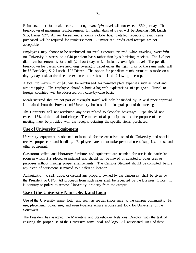Reimbursement for meals incurred during *overnight* travel will not exceed \$50 per day. The breakdown of maximum reimbursement for partial days of travel will be Breakfast \$8, Lunch \$15, Dinner \$27. All reimbursement amounts include tips. Detailed receipts of exact items purchased will be required for reimbursement. Summarized credit card receipts are not acceptable.

Employees may choose to be reimbursed for meal expenses incurred while traveling *overnight* for University business on a \$40 per diem basis rather than by submitting receipts. The \$40 per diem reimbursement is for a full (24-hour) day, which includes overnight travel. The per diem breakdown for partial days involving overnight travel either the night prior or the same night will be \$6 Breakfast, \$12 Lunch, \$22 Dinner. The option for per diem reimbursement is made on a day by day basis at the time the expense report is submitted following the trip.

A total trip maximum of \$10 will be reimbursed for non-receipted expenses such as hotel and airport tipping. The employee should submit a log with explanations of tips given. Travel to foreign countries will be addressed on a case-by-case basis.

Meals incurred that are not part of overnight travel will only be funded by USW if prior approval is obtained from the Provost and University business is an integral part of the meeting.

The University will not reimburse any costs related to alcoholic beverages. Tips should not exceed 15% of the total food charge. The names of all participants and the purpose of the meeting must be provided with the receipts detailing the specific items purchased.

### **Use of University Equipment**

University equipment is obtained or installed for the exclusive use of the University and should receive proper care and handling. Employees are not to make personal use of supplies, tools, and other equipment.

Classroom, office and laboratory furniture and equipment are intended for use in the particular room in which it is placed or installed and should not be moved or adapted to other uses or purposes without making proper arrangements. The Campus Steward should be consulted before any piece of equipment is moved to a different location.

Authorization to sell, trade, or discard any property owned by the University shall be given by the President or CFO. All proceeds from such sales shall be receipted by the Business Office. It is contrary to policy to remove University property from the campus.

### **Use of the University Name, Seal, and Logo**

Use of the University name, logo, and seal has special importance to the campus community. Its use, placement, color, size, and even typeface ensure a consistent look for University of the Southwest.

The President has assigned the Marketing and Stakeholder Relations Director with the task of ensuring the proper use of the University name, seal, and logo. All anticipated uses of these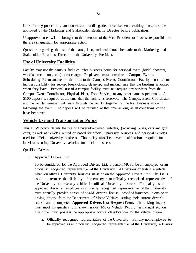items for any publication, announcement, media guide, advertisement, clothing, etc., must be approved by the Marketing and Stakeholder Relations Director before publication.

Unapproved uses will be brought to the attention of the Vice President or Provost responsible for the area in question for appropriate action.

Questions regarding the use of the name, logo, and seal should be made to the Marketing and Stakeholder Relations Director or the University President.

### **Use of University Facilities**

Faculty may use the campus facilities after business hours for personal event (bridal showers, wedding receptions, etc.) at no charge. Employees must complete a **Campus Events Scheduling Form** and return the form to the Campus Events Coordinator. Faculty must assume full responsibility for set-up, break-down, clean-up, and making sure that the building is locked when they leave. Personal use of a campus facility must not require any services from the Campus Event Coordinator, Physical Plant, Food Service, or any other campus personnel. A \$100 deposit is required at the time that the facility is reserved. The Campus Event Coordinator and the faculty member will walk through the facility together on the first business morning following the event. The deposit will be returned at that time as long as all conditions of use have been met.

### **Vehicle Use and Transportation Policy**

This USW policy details the use of University-owned vehicles, (including buses, cars and golf carts) as well as vehicles rented or leased for official university business and personal vehicles used for official university business. This policy also lists driver qualifications required for individuals using University vehicles for official business.

#### Qualified Drivers

1. Approved Drivers List:

To be considered for the Approved Drivers List, a person MUST be an employee or an officially recognized representative of the University. All persons operating a vehicle while on official University business must be on the Approved Drivers List. The list is used to determine the eligibility of an employee or officially recognized representative of the University to drive any vehicle for official University business. To qualify as an approved driver, an employee or officially recognized representative of the University must annually provide copies of a valid driver's license, proof of insurance, a one-year driving history from the Department of Motor Vehicles issuing their current driver's license and a completed **Approved Drivers List Request Form.** The driving history must meet the qualifications shown under "Motor Vehicle Record" in the next section. The driver must possess the appropriate license classification for the vehicle driven.

a. Officially recognized representative of the University –For any non-employee to be approved as an officially recognized representative of the University, a **Driver**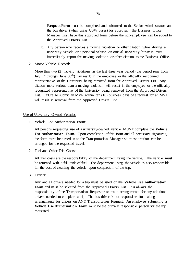**Request Form** must be completed and submitted to the Senior Administrator and the bus driver (when using USW buses) for approval. The Business Office Manager must have this approved form before the non-employee can be added to the Approved Drivers List.

- b. Any person who receives a moving violation or other citation while driving a university vehicle or a personal vehicle on official university business must immediately report the moving violation or other citation to the Business Office.
- 2. Motor Vehicle Record:

More than two (2) moving violations in the last three year period (the period runs from July  $1<sup>st</sup>$  through June  $30<sup>th</sup>$ ) may result in the employee or the officially recognized representative of the University being removed from the Approved Drivers List. Any citation more serious than a moving violation will result in the employee or the officially recognized representative of the University being removed from the Approved Drivers List. Failure to submit an MVR within ten (10) business days of a request for an MVT will result in removal from the Approved Drivers List.

#### Use of University Owned Vehicles

1. Vehicle Use Authorization Form:

All persons requesting use of a university-owned vehicle MUST complete the **Vehicle Use Authorization Form.** Upon completion of this form and all necessary signatures, the form must be turned in to the Transportation Manager so transportation can be arranged for the requested travel.

2. Fuel and Other Trip Costs:

All fuel costs are the responsibility of the department using the vehicle. The vehicle must be returned with a full tank of fuel. The department using the vehicle is also responsible for the cost of cleaning the vehicle upon completion of the trip.

3. Drivers:

Any and all drivers needed for a trip must be listed on the **Vehicle Use Authorization Form** and must be selected from the Approved Drivers List. It is always the responsibility of the Transportation Requestor to make arrangements for any additional drivers needed to complete a trip. The bus driver is not responsible for making arrangements for drivers on ANY Transportation Request. An employee submitting a **Vehicle Use Authorization Form** must be the primary responsible person for the trip requested.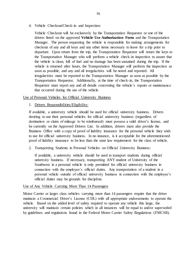4. Vehicle Checkout/Check-in and Inspection:

Vehicle Checkout will be exclusively by the Transportation Requestor or one of the drivers listed on the approved **Vehicle Use Authorization Form** and the Transportation Manager. The person requesting the vehicle is responsible for making arrangements for checkout of any and all keys and any other items necessary to leave for a trip prior to departure. Upon return from the trip, the Transportation Requestor will return the keys to the Transportation Manager who will perform a vehicle check-in inspection to assure that the vehicle is clean, full of fuel and no damage has been sustained during the trip. If the vehicle is returned after hours, the Transportation Manager will perform the inspection as soon as possible, and any and all irregularities will be noted and reported. All irregularities must be reported to the Transportation Manager as soon as possible by the Transportation Requestor. Additionally, at the time of check-in, the Transportation Requestor must report any and all details concerning the vehicle's repairs or maintenance that occurred during the use of the vehicle.

Use of Personal Vehicles for Official University Business

# 1. Drivers Responsibilities/Eligibility:

If available, a university vehicle should be used for official university business. Drivers desiring to use their personal vehicles for official university business (regardless of destination or claim of mileage to be reimbursed) must possess a valid driver's license, and be currently on the Approved Drivers List. In addition, drivers must also provide the Business Office with a copy of proof of liability insurance for the personal vehicle they wish to use for official university business. In no instance, is it acceptable for the aforementioned proof of liability insurance to be less than the state law requirement for the class of vehicle.

2. Transporting Students in Personal Vehicles on Official University Business:

If available, a university vehicle should be used to transport students during official university business. If necessary, transporting ANY student of University of the Southwest in a personal vehicle is only permitted for official university business in connection with the employee's official duties. Any transportation of a student in a personal vehicle outside of official university business in connection with the employee's official duties may be grounds for discipline.

# Use of Any Vehicle Carrying More Than 14 Passengers

Motor Carrier or larger class vehicles carrying more than 14 passengers require that the driver maintain a Commercial Driver's License (CDL) with all appropriate endorsements to operate the vehicle. Based on the added level of safety required to operate any vehicle this large, the university will maintain certain policies which in all instances will be equal to and/or superseded by guidelines and regulations found in the Federal Motor Carrier Safety Regulations (FMCSR).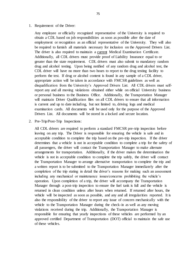#### 1. Requirement of the Driver:

Any employee or officially recognized representative of the University is required to obtain a CDL based on job responsibilities as soon as possible after the date of employment or recognition as an official representative of the University. They will also be required to furnish all materials necessary for inclusion on the Approved Drivers List. The driver is also required to maintain a current Medical Examination Certificate. Additionally, all CDL drivers must provide proof of Liability Insurance equal to or greater than the state requirement. CDL drivers must also submit to mandatory random drug and alcohol testing. Upon being notified of any random drug and alcohol test, the CDL driver will have no more than two hours to report to the drug testing facility to perform the test. If drug or alcohol content is found in any sample of a CDL driver, appropriate action will be taken in accordance with FMCSR guidelines as well as disqualification from the University's Approved Drivers List. All CDL drivers must selfreport any and all moving violations obtained either while on official University business or personal business to the Business Office. Additionally, the Transportation Manager will maintain Driver Qualification files on all CDL drivers to ensure that all information is current and up to date including, but not limited to, driving logs and medical examination cards. All documents will be used only for the purpose of the Approved Drivers List. All documents will be stored in a locked and secure location.

#### 2. Pre-Trip/Post-Trip Inspections:

All CDL drivers are required to perform a standard FMCSR pre-trip inspection before leaving on any trip. The Driver is responsible for ensuring the vehicle is safe and in acceptable condition to complete the trip based on the pre-trip inspection. If the driver determines that a vehicle is not in acceptable condition to complete a trip for the safety of all passengers, the driver will contact the Transportation Manager to make alternate arrangements for transportation. Additionally, if the driver makes the determination the vehicle is not in acceptable condition to complete the trip safely, the driver will contact the Transportation Manager to arrange alternative transportation to complete the trip and a written report is to be submitted to the Transportation Manager immediately after the completion of the trip stating in detail the driver's reasons for making such an assessment including any mechanical or maintenance issues/concerns prohibiting the vehicle's operation. Upon completion of a trip, the driver will accompany the Transportation Manager through a post-trip inspection to ensure the fuel tank is full and the vehicle is returned in clean condition unless after hours when returned. If returned after hours, the vehicle will be inspected as soon as possible, and any and all irregularities reported. It is also the responsibility of the driver to report any issue of concern mechanically with the vehicle to the Transportation Manager during the check-in as well as any moving violations received during the trip. Additionally, the Transportation Manager is responsible for ensuring that yearly inspections of these vehicles are performed by an approved certified Department of Transportation (DOT) official to maintain the safe use of these vehicles.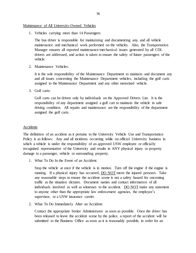Maintenance of All University-Owned Vehicles

1. Vehicles carrying more than 14 Passengers:

The bus driver is responsible for maintaining and documenting any, and all vehicle maintenance and mechanical work performed on the vehicles. Also, the Transportation Manager ensures all reported maintenance/mechanical issues generated by all CDL drivers are addressed, and action is taken to ensure the safety of future passengers of the vehicle.

2. Maintenance Vehicles:

It is the sole responsibility of the Maintenance Department to maintain and document any and all issues concerning the Maintenance Department vehicles, including the golf carts assigned to the Maintenance Department and any other motorized vehicle.

3. Golf carts:

Golf carts can be driven only by individuals on the Approved Drivers List. It is the responsibility of any department assigned a golf cart to maintain the vehicle in safe driving condition. All repairs and maintenance are the responsibility of the department assigned the golf carts.

# **Accidents**

The definition of an accident as it pertains to the University Vehicle Use and Transportation Policy is as follows: Any and all incidents occurring while on official University business in which a vehicle is under the responsibility of an approved USW employee or officially recognized representative of the University and results in ANY physical injury or property damage to a passenger, vehicle or surrounding property.

1. What To Do In the Event of an Accident:

Stop the vehicle at once if the vehicle is in motion. Turn off the engine if the engine is running. If a physical injury has occurred, DO NOT move the injured person/s. Take any reasonable steps to ensure the accident scene is not a safety hazard for oncoming traffic as the situation dictates. Document names and contact information of all individuals involved as well as witnesses to the accident. DO NOT make any statement to anyone other than the appropriate law enforcement agencies, the employee's supervisor, or a USW insurance carrier.

2. What To Do Immediately After an Accident:

Contact the appropriate Senior Administrator as soon as possible. Once the driver has been released to leave the accident scene by the police, a report of the accident will be submitted to the Business Office as soon as it is reasonably possible, in order for an